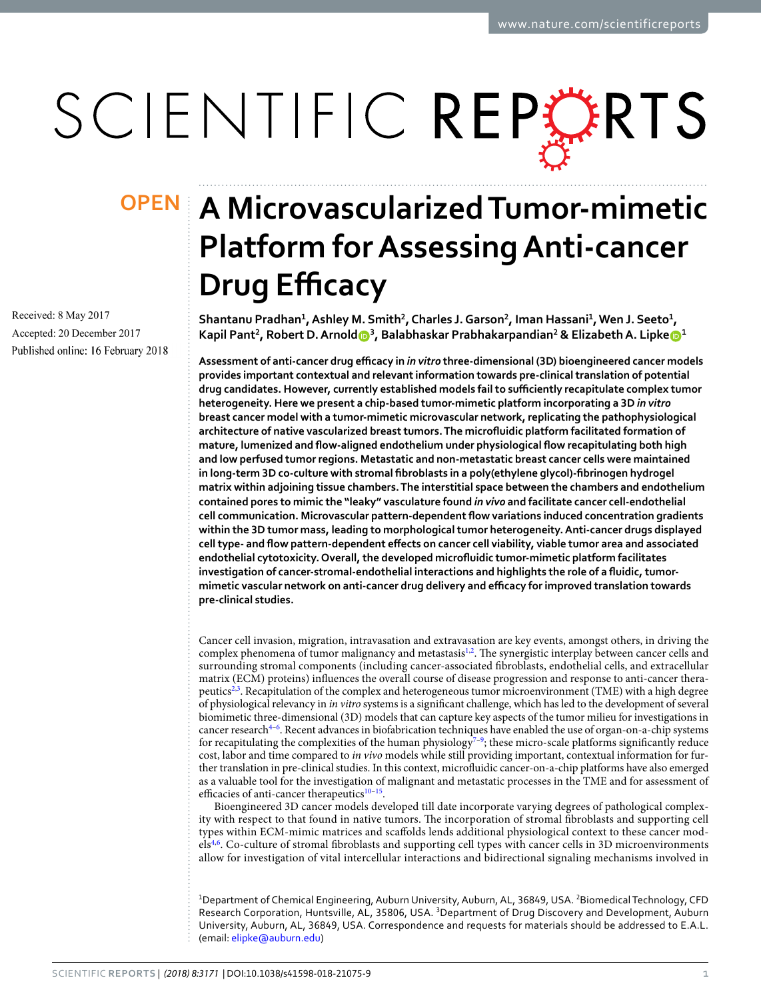# SCIENTIFIC REPERTS

Received: 8 May 2017 Accepted: 20 December 2017 Published online: 16 February 2018

## **A Microvascularized Tumor-mimetic OPENPlatform for Assessing Anti-cancer Drug Efficacy**

**Shantanu Pradhan<sup>1</sup> , Ashley M. Smith<sup>2</sup> , Charles J. Garson<sup>2</sup> , Iman Hassani<sup>1</sup> , Wen J. Seeto<sup>1</sup> , Kapil Pant<sup>2</sup> , Robert D. Arnold<sup>3</sup> , Balabhaskar Prabhakarpandian<sup>2</sup> & Elizabeth A. Lipk[e](http://orcid.org/0000-0002-3465-5609) <sup>1</sup>**

**Assessment of anti-cancer drug efficacy in** *in vitro* **three-dimensional (3D) bioengineered cancer models provides important contextual and relevant information towards pre-clinical translation of potential drug candidates. However, currently established models fail to sufficiently recapitulate complex tumor heterogeneity. Here we present a chip-based tumor-mimetic platform incorporating a 3D** *in vitro* **breast cancer model with a tumor-mimetic microvascular network, replicating the pathophysiological architecture of native vascularized breast tumors. The microfluidic platform facilitated formation of mature, lumenized and flow-aligned endothelium under physiological flow recapitulating both high and low perfused tumor regions. Metastatic and non-metastatic breast cancer cells were maintained in long-term 3D co-culture with stromal fibroblasts in a poly(ethylene glycol)-fibrinogen hydrogel matrix within adjoining tissue chambers. The interstitial space between the chambers and endothelium contained pores to mimic the "leaky" vasculature found** *in vivo* **and facilitate cancer cell-endothelial cell communication. Microvascular pattern-dependent flow variations induced concentration gradients within the 3D tumor mass, leading to morphological tumor heterogeneity. Anti-cancer drugs displayed cell type- and flow pattern-dependent effects on cancer cell viability, viable tumor area and associated endothelial cytotoxicity. Overall, the developed microfluidic tumor-mimetic platform facilitates investigation of cancer-stromal-endothelial interactions and highlights the role of a fluidic, tumormimetic vascular network on anti-cancer drug delivery and efficacy for improved translation towards pre-clinical studies.**

Cancer cell invasion, migration, intravasation and extravasation are key events, amongst others, in driving the complex phenomena of tumor malignancy and metastasis<sup>[1](#page-12-0)[,2](#page-12-1)</sup>. The synergistic interplay between cancer cells and surrounding stromal components (including cancer-associated fibroblasts, endothelial cells, and extracellular matrix (ECM) proteins) influences the overall course of disease progression and response to anti-cancer thera-peutics<sup>[2](#page-12-1)[,3](#page-12-2)</sup>. Recapitulation of the complex and heterogeneous tumor microenvironment (TME) with a high degree of physiological relevancy in in vitro systems is a significant challenge, which has led to the development of several biomimetic three-dimensional (3D) models that can capture key aspects of the tumor milieu for investigations in cancer research<sup>[4](#page-12-3)-6</sup>. Recent advances in biofabrication techniques have enabled the use of organ-on-a-chip systems for recapitulating the complexities of the human physiology<sup>7-[9](#page-12-6)</sup>; these micro-scale platforms significantly reduce cost, labor and time compared to in vivo models while still providing important, contextual information for further translation in pre-clinical studies. In this context, microfluidic cancer-on-a-chip platforms have also emerged as a valuable tool for the investigation of malignant and metastatic processes in the TME and for assessment of efficacies of anti-cancer therapeutics<sup>10-[15](#page-12-8)</sup>.

Bioengineered 3D cancer models developed till date incorporate varying degrees of pathological complexity with respect to that found in native tumors. The incorporation of stromal fibroblasts and supporting cell types within ECM-mimic matrices and scaffolds lends additional physiological context to these cancer mod-els<sup>[4](#page-12-3),[6](#page-12-4)</sup>. Co-culture of stromal fibroblasts and supporting cell types with cancer cells in 3D microenvironments allow for investigation of vital intercellular interactions and bidirectional signaling mechanisms involved in

<sup>1</sup>Department of Chemical Engineering, Auburn University, Auburn, AL, 36849, USA. <sup>2</sup>Biomedical Technology, CFD Research Corporation, Huntsville, AL, 35806, USA. <sup>3</sup>Department of Drug Discovery and Development, Auburn University, Auburn, AL, 36849, USA. Correspondence and requests for materials should be addressed to E.A.L. (email: [elipke@auburn.edu](mailto:elipke@auburn.edu))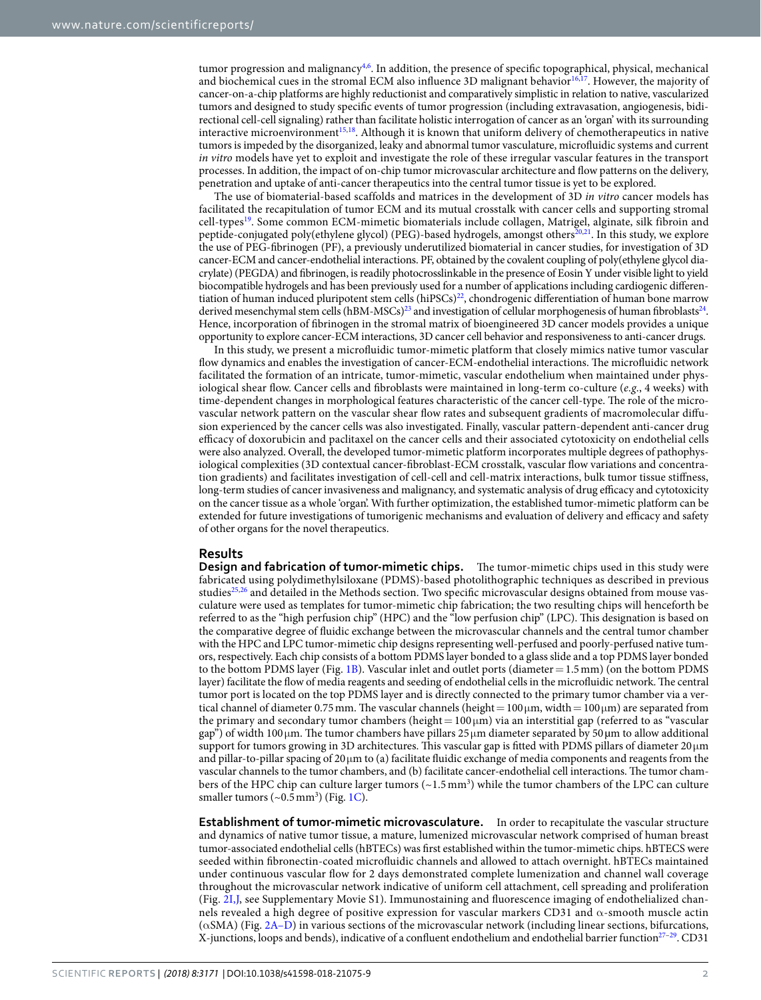tumor progression and malignancy<sup>[4](#page-12-3)[,6](#page-12-4)</sup>. In addition, the presence of specific topographical, physical, mechanical and biochemical cues in the stromal ECM also influence 3D malignant behavior<sup>[16](#page-12-9)[,17](#page-12-10)</sup>. However, the majority of cancer-on-a-chip platforms are highly reductionist and comparatively simplistic in relation to native, vascularized tumors and designed to study specific events of tumor progression (including extravasation, angiogenesis, bidirectional cell-cell signaling) rather than facilitate holistic interrogation of cancer as an 'organ' with its surrounding interactive microenvironment<sup>[15](#page-12-8)[,18](#page-12-11)</sup>. Although it is known that uniform delivery of chemotherapeutics in native tumors is impeded by the disorganized, leaky and abnormal tumor vasculature, microfluidic systems and current in vitro models have yet to exploit and investigate the role of these irregular vascular features in the transport processes. In addition, the impact of on-chip tumor microvascular architecture and flow patterns on the delivery, penetration and uptake of anti-cancer therapeutics into the central tumor tissue is yet to be explored.

The use of biomaterial-based scaffolds and matrices in the development of 3D in vitro cancer models has facilitated the recapitulation of tumor ECM and its mutual crosstalk with cancer cells and supporting stromal cell-types[19](#page-12-12). Some common ECM-mimetic biomaterials include collagen, Matrigel, alginate, silk fibroin and peptide-conjugated poly(ethylene glycol) (PEG)-based hydrogels, amongst others<sup>[20,](#page-12-13)[21](#page-12-14)</sup>. In this study, we explore the use of PEG-fibrinogen (PF), a previously underutilized biomaterial in cancer studies, for investigation of 3D cancer-ECM and cancer-endothelial interactions. PF, obtained by the covalent coupling of poly(ethylene glycol diacrylate) (PEGDA) and fibrinogen, is readily photocrosslinkable in the presence of Eosin Y under visible light to yield biocompatible hydrogels and has been previously used for a number of applications including cardiogenic differen-tiation of human induced pluripotent stem cells (hiPSCs)<sup>[22](#page-12-15)</sup>, chondrogenic differentiation of human bone marrow derived mesenchymal stem cells (hBM-MSCs)<sup>[23](#page-12-16)</sup> and investigation of cellular morphogenesis of human fibroblasts<sup>[24](#page-12-17)</sup>. Hence, incorporation of fibrinogen in the stromal matrix of bioengineered 3D cancer models provides a unique opportunity to explore cancer-ECM interactions, 3D cancer cell behavior and responsiveness to anti-cancer drugs.

In this study, we present a microfluidic tumor-mimetic platform that closely mimics native tumor vascular flow dynamics and enables the investigation of cancer-ECM-endothelial interactions. The microfluidic network facilitated the formation of an intricate, tumor-mimetic, vascular endothelium when maintained under physiological shear flow. Cancer cells and fibroblasts were maintained in long-term co-culture (e.g., 4 weeks) with time-dependent changes in morphological features characteristic of the cancer cell-type. The role of the microvascular network pattern on the vascular shear flow rates and subsequent gradients of macromolecular diffusion experienced by the cancer cells was also investigated. Finally, vascular pattern-dependent anti-cancer drug efficacy of doxorubicin and paclitaxel on the cancer cells and their associated cytotoxicity on endothelial cells were also analyzed. Overall, the developed tumor-mimetic platform incorporates multiple degrees of pathophysiological complexities (3D contextual cancer-fibroblast-ECM crosstalk, vascular flow variations and concentration gradients) and facilitates investigation of cell-cell and cell-matrix interactions, bulk tumor tissue stiffness, long-term studies of cancer invasiveness and malignancy, and systematic analysis of drug efficacy and cytotoxicity on the cancer tissue as a whole 'organ'. With further optimization, the established tumor-mimetic platform can be extended for future investigations of tumorigenic mechanisms and evaluation of delivery and efficacy and safety of other organs for the novel therapeutics.

#### **Results**

**Design and fabrication of tumor-mimetic chips.** The tumor-mimetic chips used in this study were fabricated using polydimethylsiloxane (PDMS)-based photolithographic techniques as described in previous studies<sup>[25,](#page-12-18)[26](#page-12-19)</sup> and detailed in the Methods section. Two specific microvascular designs obtained from mouse vasculature were used as templates for tumor-mimetic chip fabrication; the two resulting chips will henceforth be referred to as the "high perfusion chip" (HPC) and the "low perfusion chip" (LPC). This designation is based on the comparative degree of fluidic exchange between the microvascular channels and the central tumor chamber with the HPC and LPC tumor-mimetic chip designs representing well-perfused and poorly-perfused native tumors, respectively. Each chip consists of a bottom PDMS layer bonded to a glass slide and a top PDMS layer bonded to the bottom PDMS layer (Fig. [1B](#page-2-0)). Vascular inlet and outlet ports (diameter  $= 1.5$  mm) (on the bottom PDMS layer) facilitate the flow of media reagents and seeding of endothelial cells in the microfluidic network. The central tumor port is located on the top PDMS layer and is directly connected to the primary tumor chamber via a vertical channel of diameter 0.75 mm. The vascular channels (height =  $100 \mu m$ , width =  $100 \mu m$ ) are separated from the primary and secondary tumor chambers (height =  $100 \mu m$ ) via an interstitial gap (referred to as "vascular gap") of width  $100 \mu$ m. The tumor chambers have pillars  $25 \mu$ m diameter separated by  $50 \mu$ m to allow additional support for tumors growing in 3D architectures. This vascular gap is fitted with PDMS pillars of diameter 20  $\mu$ m and pillar-to-pillar spacing of  $20 \mu m$  to (a) facilitate fluidic exchange of media components and reagents from the vascular channels to the tumor chambers, and (b) facilitate cancer-endothelial cell interactions. The tumor chambers of the HPC chip can culture larger tumors (~1.5 mm<sup>3</sup>) while the tumor chambers of the LPC can culture smaller tumors  $({\sim}0.5 \,\mathrm{mm}^3)$  (Fig. [1C\)](#page-2-0).

**Establishment of tumor-mimetic microvasculature.** In order to recapitulate the vascular structure and dynamics of native tumor tissue, a mature, lumenized microvascular network comprised of human breast tumor-associated endothelial cells (hBTECs) was first established within the tumor-mimetic chips. hBTECS were seeded within fibronectin-coated microfluidic channels and allowed to attach overnight. hBTECs maintained under continuous vascular flow for 2 days demonstrated complete lumenization and channel wall coverage throughout the microvascular network indicative of uniform cell attachment, cell spreading and proliferation (Fig. [2I,J](#page-3-0), see Supplementary Movie S1). Immunostaining and fluorescence imaging of endothelialized channels revealed a high degree of positive expression for vascular markers CD31 and α-smooth muscle actin (αSMA) (Fig. [2A–D\)](#page-3-0) in various sections of the microvascular network (including linear sections, bifurcations, X-junctions, loops and bends), indicative of a confluent endothelium and endothelial barrier function<sup>[27](#page-12-20)-29</sup>. CD31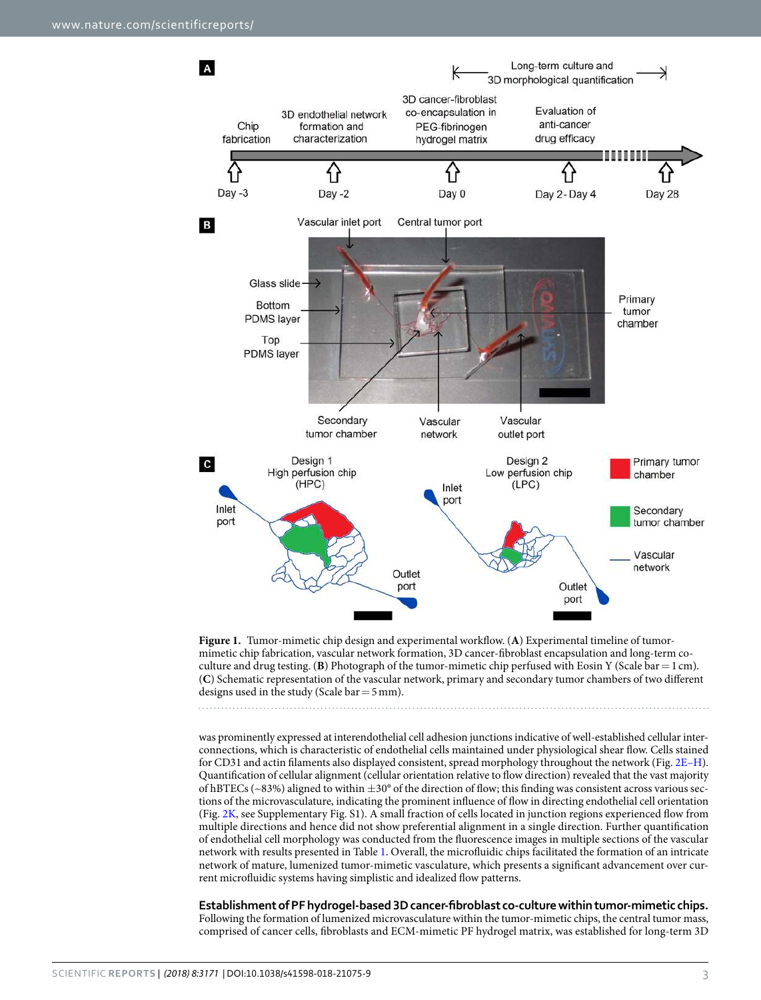

<span id="page-2-0"></span>**Figure 1.** Tumor-mimetic chip design and experimental workflow. (**A**) Experimental timeline of tumormimetic chip fabrication, vascular network formation, 3D cancer-fibroblast encapsulation and long-term coculture and drug testing. (**B**) Photograph of the tumor-mimetic chip perfused with Eosin Y (Scale bar = 1 cm). (**C**) Schematic representation of the vascular network, primary and secondary tumor chambers of two different designs used in the study (Scale bar  $=$  5 mm).

was prominently expressed at interendothelial cell adhesion junctions indicative of well-established cellular interconnections, which is characteristic of endothelial cells maintained under physiological shear flow. Cells stained for CD31 and actin filaments also displayed consistent, spread morphology throughout the network (Fig. [2E–H](#page-3-0)). Quantification of cellular alignment (cellular orientation relative to flow direction) revealed that the vast majority of hBTECs ( $\sim$ 83%) aligned to within  $\pm 30^{\circ}$  of the direction of flow; this finding was consistent across various sections of the microvasculature, indicating the prominent influence of flow in directing endothelial cell orientation (Fig. [2K,](#page-3-0) see Supplementary Fig. S1). A small fraction of cells located in junction regions experienced flow from multiple directions and hence did not show preferential alignment in a single direction. Further quantification of endothelial cell morphology was conducted from the fluorescence images in multiple sections of the vascular network with results presented in Table [1.](#page-3-1) Overall, the microfluidic chips facilitated the formation of an intricate network of mature, lumenized tumor-mimetic vasculature, which presents a significant advancement over current microfluidic systems having simplistic and idealized flow patterns.

**Establishment of PF hydrogel-based 3D cancer-fibroblast co-culture within tumor-mimetic chips.** 

Following the formation of lumenized microvasculature within the tumor-mimetic chips, the central tumor mass, comprised of cancer cells, fibroblasts and ECM-mimetic PF hydrogel matrix, was established for long-term 3D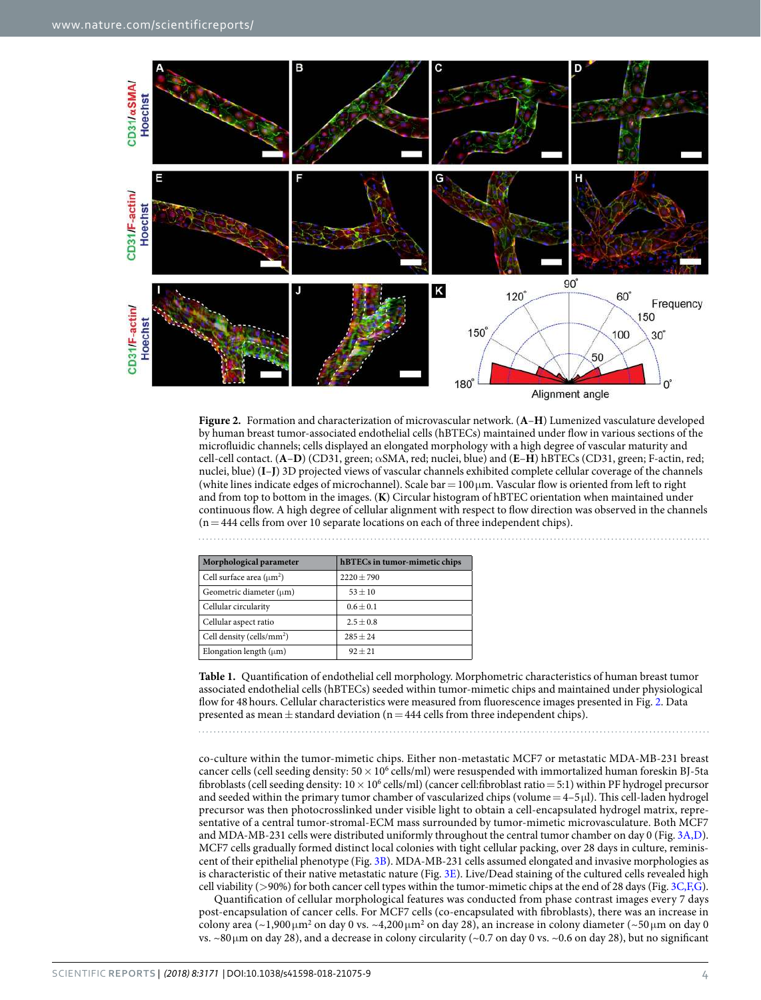

<span id="page-3-0"></span>**Figure 2.** Formation and characterization of microvascular network. (**A**–**H**) Lumenized vasculature developed by human breast tumor-associated endothelial cells (hBTECs) maintained under flow in various sections of the microfluidic channels; cells displayed an elongated morphology with a high degree of vascular maturity and cell-cell contact. (**A**–**D**) (CD31, green; αSMA, red; nuclei, blue) and (**E**–**H**) hBTECs (CD31, green; F-actin, red; nuclei, blue) (**I**–**J**) 3D projected views of vascular channels exhibited complete cellular coverage of the channels (white lines indicate edges of microchannel). Scale  $bar = 100 \mu m$ . Vascular flow is oriented from left to right and from top to bottom in the images. (**K**) Circular histogram of hBTEC orientation when maintained under continuous flow. A high degree of cellular alignment with respect to flow direction was observed in the channels  $(n = 444$  cells from over 10 separate locations on each of three independent chips).

<span id="page-3-1"></span>

| Morphological parameter               | hBTECs in tumor-mimetic chips |
|---------------------------------------|-------------------------------|
| Cell surface area $(\mu m^2)$         | $2220 \pm 790$                |
| Geometric diameter $(\mu m)$          | $53 + 10$                     |
| Cellular circularity                  | $0.6 + 0.1$                   |
| Cellular aspect ratio                 | $2.5 + 0.8$                   |
| Cell density (cells/mm <sup>2</sup> ) | $285 + 24$                    |
| Elongation length $(\mu m)$           | $92 + 21$                     |

**Table 1.** Quantification of endothelial cell morphology. Morphometric characteristics of human breast tumor associated endothelial cells (hBTECs) seeded within tumor-mimetic chips and maintained under physiological flow for 48 hours. Cellular characteristics were measured from fluorescence images presented in Fig. [2](#page-3-0). Data presented as mean  $\pm$  standard deviation (n = 444 cells from three independent chips).

co-culture within the tumor-mimetic chips. Either non-metastatic MCF7 or metastatic MDA-MB-231 breast cancer cells (cell seeding density:  $50 \times 10^6$  cells/ml) were resuspended with immortalized human foreskin BJ-5ta fibroblasts (cell seeding density:  $10 \times 10^6$  cells/ml) (cancer cell:fibroblast ratio = 5:1) within PF hydrogel precursor and seeded within the primary tumor chamber of vascularized chips (volume  $= 4-5 \mu$ ). This cell-laden hydrogel precursor was then photocrosslinked under visible light to obtain a cell-encapsulated hydrogel matrix, representative of a central tumor-stromal-ECM mass surrounded by tumor-mimetic microvasculature. Both MCF7 and MDA-MB-231 cells were distributed uniformly throughout the central tumor chamber on day 0 (Fig. [3A,D](#page-4-0)). MCF7 cells gradually formed distinct local colonies with tight cellular packing, over 28 days in culture, reminiscent of their epithelial phenotype (Fig. [3B\)](#page-4-0). MDA-MB-231 cells assumed elongated and invasive morphologies as is characteristic of their native metastatic nature (Fig. [3E](#page-4-0)). Live/Dead staining of the cultured cells revealed high cell viability ( $>90\%$ ) for both cancer cell types within the tumor-mimetic chips at the end of 28 days (Fig. [3C,F,G\)](#page-4-0).

Quantification of cellular morphological features was conducted from phase contrast images every 7 days post-encapsulation of cancer cells. For MCF7 cells (co-encapsulated with fibroblasts), there was an increase in colony area ( $\sim$ 1,900 $\mu$ m<sup>2</sup> on day 0 vs.  $\sim$ 4,200 $\mu$ m<sup>2</sup> on day 28), an increase in colony diameter ( $\sim$ 50 $\mu$ m on day 0 vs. ~80  $\mu$ m on day 28), and a decrease in colony circularity (~0.7 on day 0 vs. ~0.6 on day 28), but no significant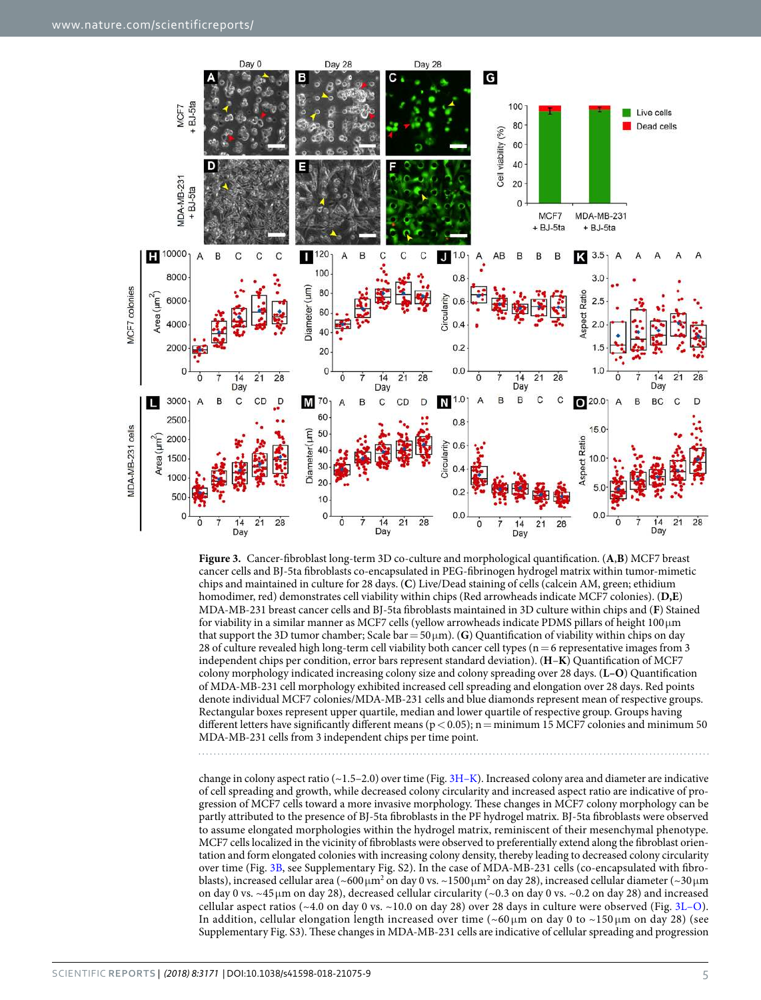

<span id="page-4-0"></span>**Figure 3.** Cancer-fibroblast long-term 3D co-culture and morphological quantification. (**A**,**B**) MCF7 breast cancer cells and BJ-5ta fibroblasts co-encapsulated in PEG-fibrinogen hydrogel matrix within tumor-mimetic chips and maintained in culture for 28 days. (**C**) Live/Dead staining of cells (calcein AM, green; ethidium homodimer, red) demonstrates cell viability within chips (Red arrowheads indicate MCF7 colonies). (**D,E**) MDA-MB-231 breast cancer cells and BJ-5ta fibroblasts maintained in 3D culture within chips and (**F**) Stained for viability in a similar manner as MCF7 cells (yellow arrowheads indicate PDMS pillars of height 100 µm that support the 3D tumor chamber; Scale bar  $= 50 \,\mu\text{m}$ ). (**G**) Quantification of viability within chips on day 28 of culture revealed high long-term cell viability both cancer cell types (n = 6 representative images from 3 independent chips per condition, error bars represent standard deviation). (**H**–**K**) Quantification of MCF7 colony morphology indicated increasing colony size and colony spreading over 28 days. (**L–O**) Quantification of MDA-MB-231 cell morphology exhibited increased cell spreading and elongation over 28 days. Red points denote individual MCF7 colonies/MDA-MB-231 cells and blue diamonds represent mean of respective groups. Rectangular boxes represent upper quartile, median and lower quartile of respective group. Groups having different letters have significantly different means ( $p < 0.05$ ); n = minimum 15 MCF7 colonies and minimum 50 MDA-MB-231 cells from 3 independent chips per time point.

change in colony aspect ratio ( $\sim$ 1.5–2.0) over time (Fig. [3H–K\)](#page-4-0). Increased colony area and diameter are indicative of cell spreading and growth, while decreased colony circularity and increased aspect ratio are indicative of progression of MCF7 cells toward a more invasive morphology. These changes in MCF7 colony morphology can be partly attributed to the presence of BJ-5ta fibroblasts in the PF hydrogel matrix. BJ-5ta fibroblasts were observed to assume elongated morphologies within the hydrogel matrix, reminiscent of their mesenchymal phenotype. MCF7 cells localized in the vicinity of fibroblasts were observed to preferentially extend along the fibroblast orientation and form elongated colonies with increasing colony density, thereby leading to decreased colony circularity over time (Fig. [3B,](#page-4-0) see Supplementary Fig. S2). In the case of MDA-MB-231 cells (co-encapsulated with fibroblasts), increased cellular area (~600 µm<sup>2</sup> on day 0 vs. ~1500 µm<sup>2</sup> on day 28), increased cellular diameter (~30 µm on day 0 vs.  $\sim$ 45  $\mu$ m on day 28), decreased cellular circularity ( $\sim$ 0.3 on day 0 vs.  $\sim$ 0.2 on day 28) and increased cellular aspect ratios ( $\sim$ 4.0 on day 0 vs.  $\sim$ 10.0 on day 28) over 28 days in culture were observed (Fig. [3L–O](#page-4-0)). In addition, cellular elongation length increased over time ( $\sim 60 \,\mu$ m on day 0 to  $\sim 150 \,\mu$ m on day 28) (see Supplementary Fig. S3). These changes in MDA-MB-231 cells are indicative of cellular spreading and progression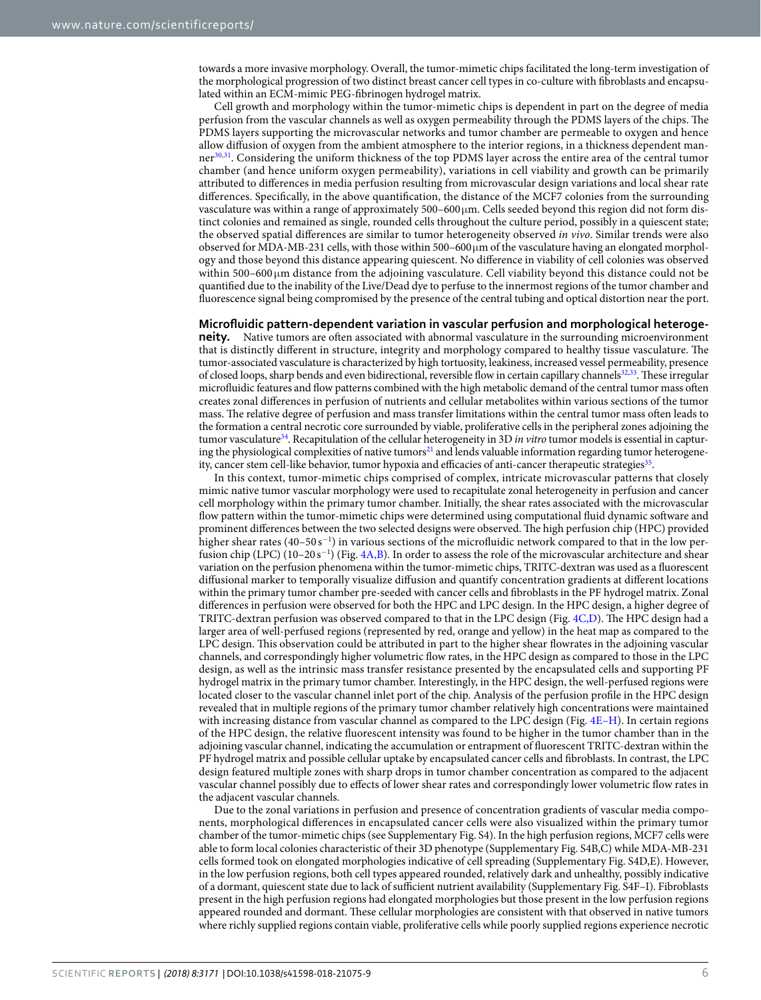towards a more invasive morphology. Overall, the tumor-mimetic chips facilitated the long-term investigation of the morphological progression of two distinct breast cancer cell types in co-culture with fibroblasts and encapsulated within an ECM-mimic PEG-fibrinogen hydrogel matrix.

Cell growth and morphology within the tumor-mimetic chips is dependent in part on the degree of media perfusion from the vascular channels as well as oxygen permeability through the PDMS layers of the chips. The PDMS layers supporting the microvascular networks and tumor chamber are permeable to oxygen and hence allow diffusion of oxygen from the ambient atmosphere to the interior regions, in a thickness dependent man-ner<sup>[30,](#page-12-22)[31](#page-12-23)</sup>. Considering the uniform thickness of the top PDMS layer across the entire area of the central tumor chamber (and hence uniform oxygen permeability), variations in cell viability and growth can be primarily attributed to differences in media perfusion resulting from microvascular design variations and local shear rate differences. Specifically, in the above quantification, the distance of the MCF7 colonies from the surrounding vasculature was within a range of approximately 500–600 µm. Cells seeded beyond this region did not form distinct colonies and remained as single, rounded cells throughout the culture period, possibly in a quiescent state; the observed spatial differences are similar to tumor heterogeneity observed in vivo. Similar trends were also observed for MDA-MB-231 cells, with those within 500–600 µm of the vasculature having an elongated morphology and those beyond this distance appearing quiescent. No difference in viability of cell colonies was observed within 500–600  $\mu$ m distance from the adjoining vasculature. Cell viability beyond this distance could not be quantified due to the inability of the Live/Dead dye to perfuse to the innermost regions of the tumor chamber and fluorescence signal being compromised by the presence of the central tubing and optical distortion near the port.

#### **Microfluidic pattern-dependent variation in vascular perfusion and morphological heteroge-**

**neity.** Native tumors are often associated with abnormal vasculature in the surrounding microenvironment that is distinctly different in structure, integrity and morphology compared to healthy tissue vasculature. The tumor-associated vasculature is characterized by high tortuosity, leakiness, increased vessel permeability, presence of closed loops, sharp bends and even bidirectional, reversible flow in certain capillary channels<sup>[32,](#page-12-24)[33](#page-12-25)</sup>. These irregular microfluidic features and flow patterns combined with the high metabolic demand of the central tumor mass often creates zonal differences in perfusion of nutrients and cellular metabolites within various sections of the tumor mass. The relative degree of perfusion and mass transfer limitations within the central tumor mass often leads to the formation a central necrotic core surrounded by viable, proliferative cells in the peripheral zones adjoining the tumor vasculature<sup>[34](#page-13-0)</sup>. Recapitulation of the cellular heterogeneity in 3D in vitro tumor models is essential in captur-ing the physiological complexities of native tumors<sup>[21](#page-12-14)</sup> and lends valuable information regarding tumor heterogene-ity, cancer stem cell-like behavior, tumor hypoxia and efficacies of anti-cancer therapeutic strategies<sup>[35](#page-13-1)</sup>.

In this context, tumor-mimetic chips comprised of complex, intricate microvascular patterns that closely mimic native tumor vascular morphology were used to recapitulate zonal heterogeneity in perfusion and cancer cell morphology within the primary tumor chamber. Initially, the shear rates associated with the microvascular flow pattern within the tumor-mimetic chips were determined using computational fluid dynamic software and prominent differences between the two selected designs were observed. The high perfusion chip (HPC) provided higher shear rates (40–50 s<sup>−</sup><sup>1</sup> ) in various sections of the microfluidic network compared to that in the low per-fusion chip (LPC) (10-20 s<sup>-1</sup>) (Fig. [4A,B](#page-6-0)). In order to assess the role of the microvascular architecture and shear variation on the perfusion phenomena within the tumor-mimetic chips, TRITC-dextran was used as a fluorescent diffusional marker to temporally visualize diffusion and quantify concentration gradients at different locations within the primary tumor chamber pre-seeded with cancer cells and fibroblasts in the PF hydrogel matrix. Zonal differences in perfusion were observed for both the HPC and LPC design. In the HPC design, a higher degree of TRITC-dextran perfusion was observed compared to that in the LPC design (Fig. [4C,D](#page-6-0)). The HPC design had a larger area of well-perfused regions (represented by red, orange and yellow) in the heat map as compared to the LPC design. This observation could be attributed in part to the higher shear flowrates in the adjoining vascular channels, and correspondingly higher volumetric flow rates, in the HPC design as compared to those in the LPC design, as well as the intrinsic mass transfer resistance presented by the encapsulated cells and supporting PF hydrogel matrix in the primary tumor chamber. Interestingly, in the HPC design, the well-perfused regions were located closer to the vascular channel inlet port of the chip. Analysis of the perfusion profile in the HPC design revealed that in multiple regions of the primary tumor chamber relatively high concentrations were maintained with increasing distance from vascular channel as compared to the LPC design (Fig. [4E–H](#page-6-0)). In certain regions of the HPC design, the relative fluorescent intensity was found to be higher in the tumor chamber than in the adjoining vascular channel, indicating the accumulation or entrapment of fluorescent TRITC-dextran within the PF hydrogel matrix and possible cellular uptake by encapsulated cancer cells and fibroblasts. In contrast, the LPC design featured multiple zones with sharp drops in tumor chamber concentration as compared to the adjacent vascular channel possibly due to effects of lower shear rates and correspondingly lower volumetric flow rates in the adjacent vascular channels.

Due to the zonal variations in perfusion and presence of concentration gradients of vascular media components, morphological differences in encapsulated cancer cells were also visualized within the primary tumor chamber of the tumor-mimetic chips (see Supplementary Fig. S4). In the high perfusion regions, MCF7 cells were able to form local colonies characteristic of their 3D phenotype (Supplementary Fig. S4B,C) while MDA-MB-231 cells formed took on elongated morphologies indicative of cell spreading (Supplementary Fig. S4D,E). However, in the low perfusion regions, both cell types appeared rounded, relatively dark and unhealthy, possibly indicative of a dormant, quiescent state due to lack of sufficient nutrient availability (Supplementary Fig. S4F–I). Fibroblasts present in the high perfusion regions had elongated morphologies but those present in the low perfusion regions appeared rounded and dormant. These cellular morphologies are consistent with that observed in native tumors where richly supplied regions contain viable, proliferative cells while poorly supplied regions experience necrotic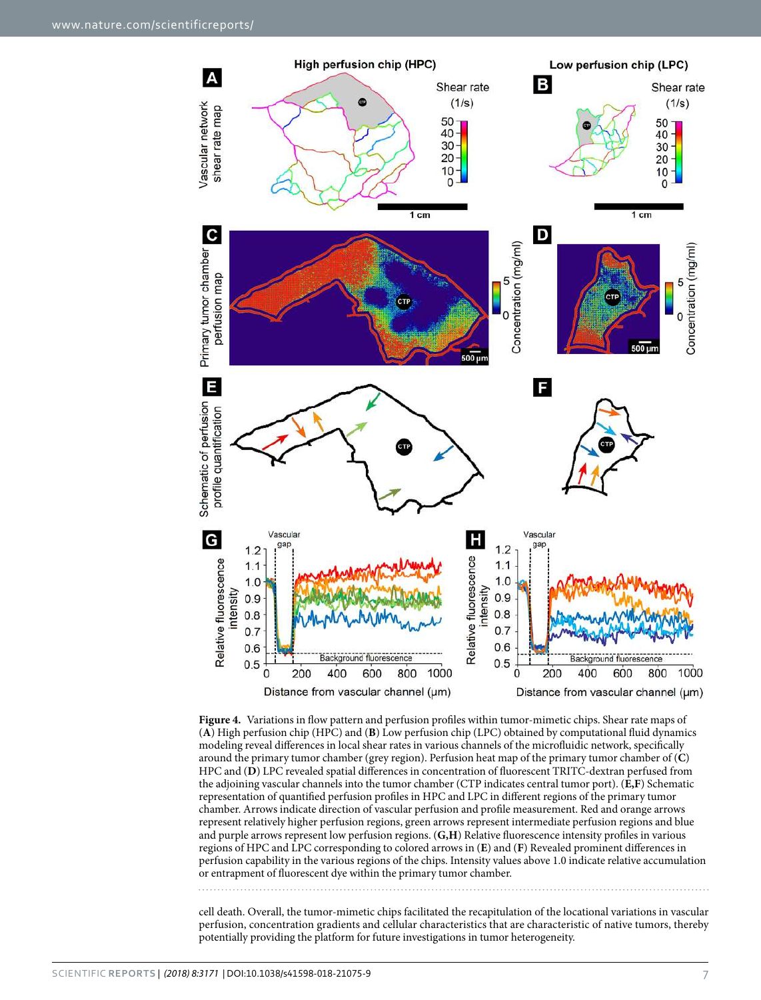

<span id="page-6-0"></span>**Figure 4.** Variations in flow pattern and perfusion profiles within tumor-mimetic chips. Shear rate maps of (**A**) High perfusion chip (HPC) and (**B**) Low perfusion chip (LPC) obtained by computational fluid dynamics modeling reveal differences in local shear rates in various channels of the microfluidic network, specifically around the primary tumor chamber (grey region). Perfusion heat map of the primary tumor chamber of (**C**) HPC and (D) LPC revealed spatial differences in concentration of fluorescent TRITC-dextran perfused from the adjoining vascular channels into the tumor chamber (CTP indicates central tumor port). (**E,F**) Schematic representation of quantified perfusion profiles in HPC and LPC in different regions of the primary tumor chamber. Arrows indicate direction of vascular perfusion and profile measurement. Red and orange arrows represent relatively higher perfusion regions, green arrows represent intermediate perfusion regions and blue and purple arrows represent low perfusion regions. (**G,H**) Relative fluorescence intensity profiles in various regions of HPC and LPC corresponding to colored arrows in (**E**) and (**F**) Revealed prominent differences in perfusion capability in the various regions of the chips. Intensity values above 1.0 indicate relative accumulation or entrapment of fluorescent dye within the primary tumor chamber.

cell death. Overall, the tumor-mimetic chips facilitated the recapitulation of the locational variations in vascular perfusion, concentration gradients and cellular characteristics that are characteristic of native tumors, thereby potentially providing the platform for future investigations in tumor heterogeneity.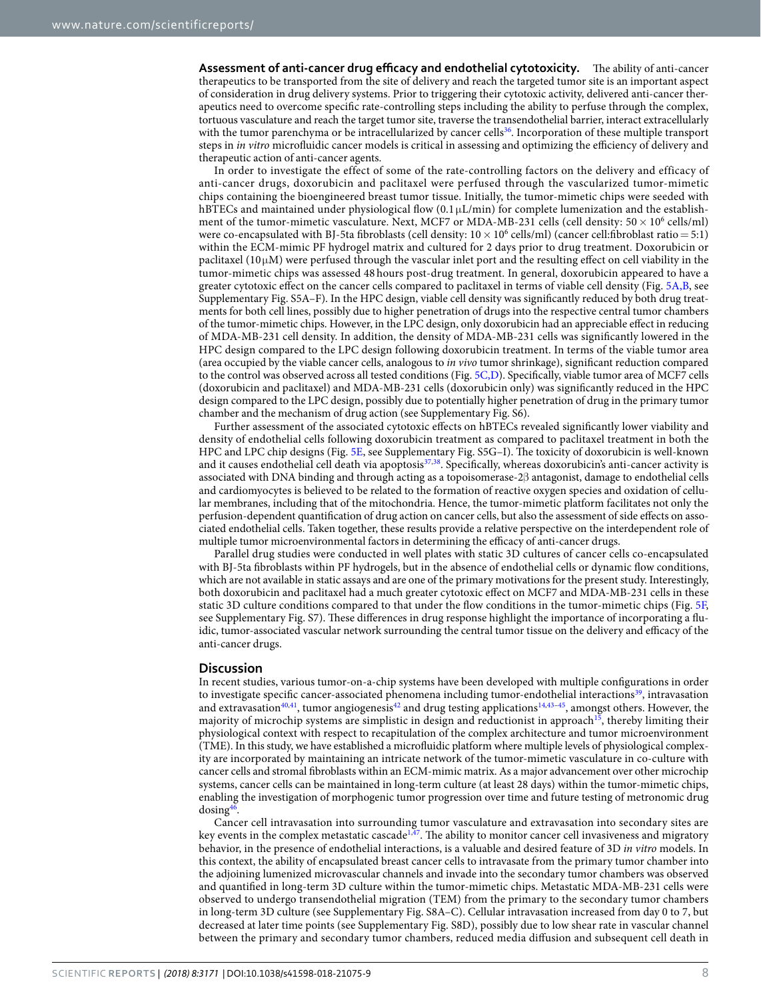**Assessment of anti-cancer drug efficacy and endothelial cytotoxicity.** The ability of anti-cancer therapeutics to be transported from the site of delivery and reach the targeted tumor site is an important aspect of consideration in drug delivery systems. Prior to triggering their cytotoxic activity, delivered anti-cancer therapeutics need to overcome specific rate-controlling steps including the ability to perfuse through the complex, tortuous vasculature and reach the target tumor site, traverse the transendothelial barrier, interact extracellularly with the tumor parenchyma or be intracellularized by cancer cells<sup>[36](#page-13-2)</sup>. Incorporation of these multiple transport steps in *in vitro* microfluidic cancer models is critical in assessing and optimizing the efficiency of delivery and therapeutic action of anti-cancer agents.

In order to investigate the effect of some of the rate-controlling factors on the delivery and efficacy of anti-cancer drugs, doxorubicin and paclitaxel were perfused through the vascularized tumor-mimetic chips containing the bioengineered breast tumor tissue. Initially, the tumor-mimetic chips were seeded with hBTECs and maintained under physiological flow  $(0.1 \mu L/min)$  for complete lumenization and the establishment of the tumor-mimetic vasculature. Next, MCF7 or MDA-MB-231 cells (cell density:  $50 \times 10^6$  cells/ml) were co-encapsulated with BJ-5ta fibroblasts (cell density:  $10 \times 10^6$  cells/ml) (cancer cell:fibroblast ratio = 5:1) within the ECM-mimic PF hydrogel matrix and cultured for 2 days prior to drug treatment. Doxorubicin or paclitaxel ( $10 \mu$ M) were perfused through the vascular inlet port and the resulting effect on cell viability in the tumor-mimetic chips was assessed 48 hours post-drug treatment. In general, doxorubicin appeared to have a greater cytotoxic effect on the cancer cells compared to paclitaxel in terms of viable cell density (Fig. [5A,B](#page-8-0), see Supplementary Fig. S5A–F). In the HPC design, viable cell density was significantly reduced by both drug treatments for both cell lines, possibly due to higher penetration of drugs into the respective central tumor chambers of the tumor-mimetic chips. However, in the LPC design, only doxorubicin had an appreciable effect in reducing of MDA-MB-231 cell density. In addition, the density of MDA-MB-231 cells was significantly lowered in the HPC design compared to the LPC design following doxorubicin treatment. In terms of the viable tumor area (area occupied by the viable cancer cells, analogous to in vivo tumor shrinkage), significant reduction compared to the control was observed across all tested conditions (Fig. [5C,D](#page-8-0)). Specifically, viable tumor area of MCF7 cells (doxorubicin and paclitaxel) and MDA-MB-231 cells (doxorubicin only) was significantly reduced in the HPC design compared to the LPC design, possibly due to potentially higher penetration of drug in the primary tumor chamber and the mechanism of drug action (see Supplementary Fig. S6).

Further assessment of the associated cytotoxic effects on hBTECs revealed significantly lower viability and density of endothelial cells following doxorubicin treatment as compared to paclitaxel treatment in both the HPC and LPC chip designs (Fig. [5E](#page-8-0), see Supplementary Fig. S5G–I). The toxicity of doxorubicin is well-known and it causes endothelial cell death via apoptosis<sup>[37,](#page-13-3)[38](#page-13-4)</sup>. Specifically, whereas doxorubicin's anti-cancer activity is associated with DNA binding and through acting as a topoisomerase-2β antagonist, damage to endothelial cells and cardiomyocytes is believed to be related to the formation of reactive oxygen species and oxidation of cellular membranes, including that of the mitochondria. Hence, the tumor-mimetic platform facilitates not only the perfusion-dependent quantification of drug action on cancer cells, but also the assessment of side effects on associated endothelial cells. Taken together, these results provide a relative perspective on the interdependent role of multiple tumor microenvironmental factors in determining the efficacy of anti-cancer drugs.

Parallel drug studies were conducted in well plates with static 3D cultures of cancer cells co-encapsulated with BJ-5ta fibroblasts within PF hydrogels, but in the absence of endothelial cells or dynamic flow conditions, which are not available in static assays and are one of the primary motivations for the present study. Interestingly, both doxorubicin and paclitaxel had a much greater cytotoxic effect on MCF7 and MDA-MB-231 cells in these static 3D culture conditions compared to that under the flow conditions in the tumor-mimetic chips (Fig. [5F,](#page-8-0) see Supplementary Fig. S7). These differences in drug response highlight the importance of incorporating a fluidic, tumor-associated vascular network surrounding the central tumor tissue on the delivery and efficacy of the anti-cancer drugs.

#### **Discussion**

In recent studies, various tumor-on-a-chip systems have been developed with multiple configurations in order to investigate specific cancer-associated phenomena including tumor-endothelial interactions<sup>[39](#page-13-5)</sup>, intravasation and extravasation<sup>[40,](#page-13-6)[41](#page-13-7)</sup>, tumor angiogenesis<sup>[42](#page-13-8)</sup> and drug testing applications<sup>[14,](#page-12-26)[43–](#page-13-9)[45](#page-13-10)</sup>, amongst others. However, the majority of microchip systems are simplistic in design and reductionist in approach<sup>[15](#page-12-8)</sup>, thereby limiting their physiological context with respect to recapitulation of the complex architecture and tumor microenvironment (TME). In this study, we have established a microfluidic platform where multiple levels of physiological complexity are incorporated by maintaining an intricate network of the tumor-mimetic vasculature in co-culture with cancer cells and stromal fibroblasts within an ECM-mimic matrix. As a major advancement over other microchip systems, cancer cells can be maintained in long-term culture (at least 28 days) within the tumor-mimetic chips, enabling the investigation of morphogenic tumor progression over time and future testing of metronomic drug dosing[46](#page-13-11) .

Cancer cell intravasation into surrounding tumor vasculature and extravasation into secondary sites are key events in the complex metastatic cascade<sup>[1,](#page-12-0)[47](#page-13-12)</sup>. The ability to monitor cancer cell invasiveness and migratory behavior, in the presence of endothelial interactions, is a valuable and desired feature of 3D in vitro models. In this context, the ability of encapsulated breast cancer cells to intravasate from the primary tumor chamber into the adjoining lumenized microvascular channels and invade into the secondary tumor chambers was observed and quantified in long-term 3D culture within the tumor-mimetic chips. Metastatic MDA-MB-231 cells were observed to undergo transendothelial migration (TEM) from the primary to the secondary tumor chambers in long-term 3D culture (see Supplementary Fig. S8A–C). Cellular intravasation increased from day 0 to 7, but decreased at later time points (see Supplementary Fig. S8D), possibly due to low shear rate in vascular channel between the primary and secondary tumor chambers, reduced media diffusion and subsequent cell death in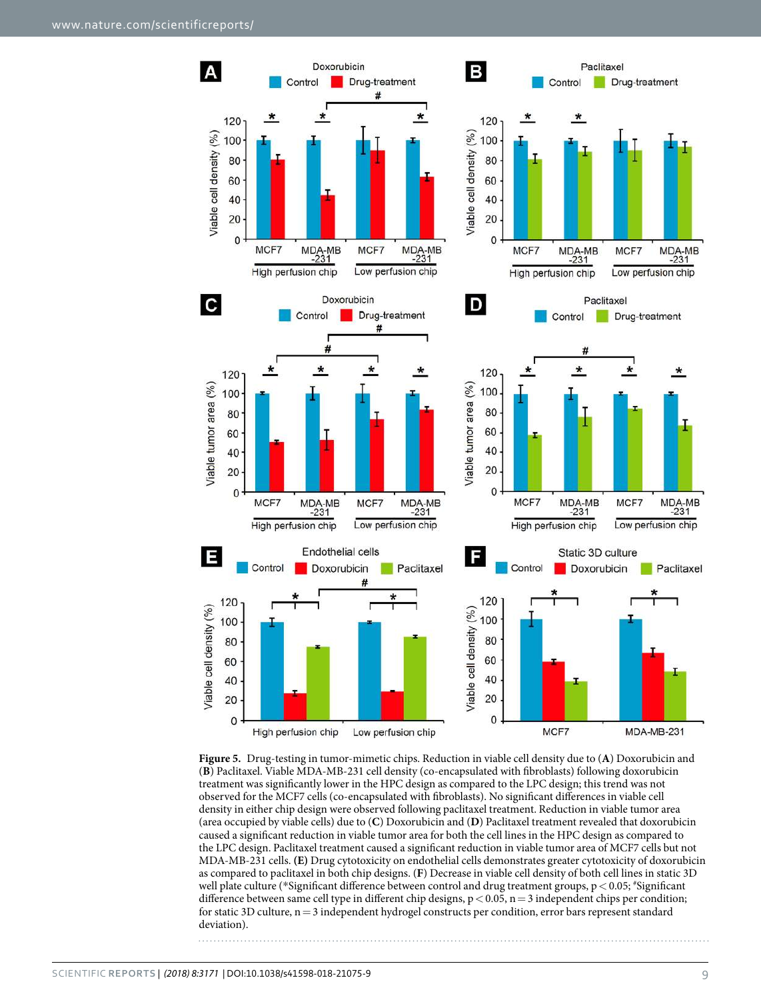

<span id="page-8-0"></span>**Figure 5.** Drug-testing in tumor-mimetic chips. Reduction in viable cell density due to (**A**) Doxorubicin and (**B**) Paclitaxel. Viable MDA-MB-231 cell density (co-encapsulated with fibroblasts) following doxorubicin treatment was significantly lower in the HPC design as compared to the LPC design; this trend was not observed for the MCF7 cells (co-encapsulated with fibroblasts). No significant differences in viable cell density in either chip design were observed following paclitaxel treatment. Reduction in viable tumor area (area occupied by viable cells) due to (**C**) Doxorubicin and (**D**) Paclitaxel treatment revealed that doxorubicin caused a significant reduction in viable tumor area for both the cell lines in the HPC design as compared to the LPC design. Paclitaxel treatment caused a significant reduction in viable tumor area of MCF7 cells but not MDA-MB-231 cells. **(E)** Drug cytotoxicity on endothelial cells demonstrates greater cytotoxicity of doxorubicin as compared to paclitaxel in both chip designs. (**F**) Decrease in viable cell density of both cell lines in static 3D well plate culture (\*Significant difference between control and drug treatment groups, p < 0.05; #Significant difference between same cell type in different chip designs,  $p < 0.05$ ,  $n = 3$  independent chips per condition; for static 3D culture,  $n = 3$  independent hydrogel constructs per condition, error bars represent standard deviation).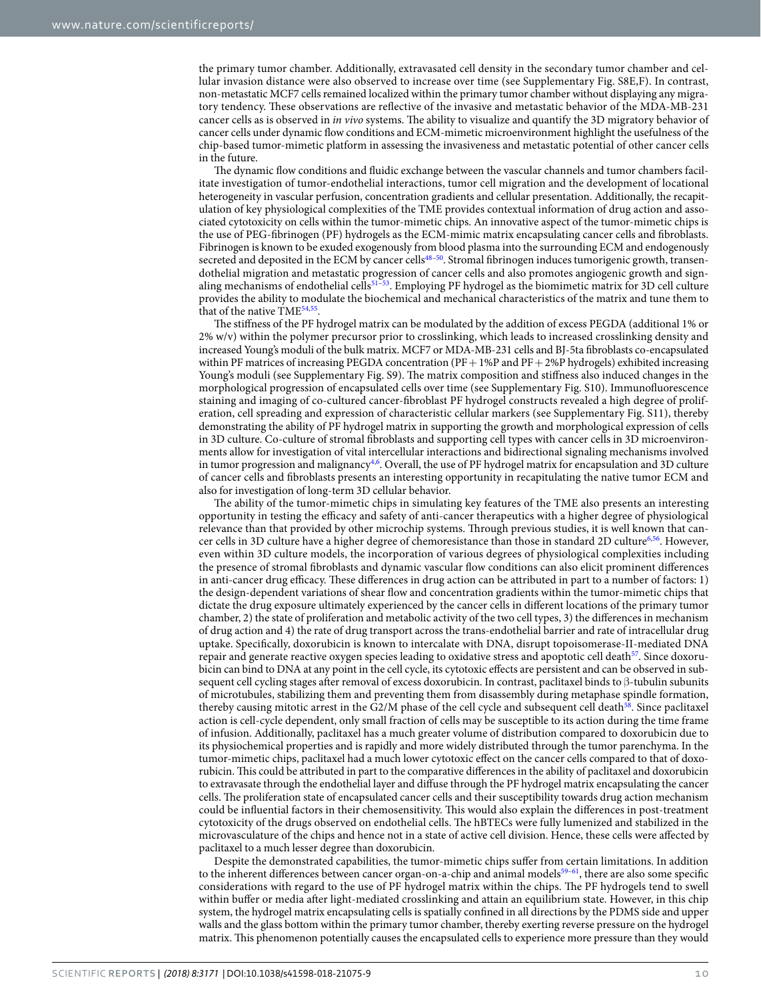the primary tumor chamber. Additionally, extravasated cell density in the secondary tumor chamber and cellular invasion distance were also observed to increase over time (see Supplementary Fig. S8E,F). In contrast, non-metastatic MCF7 cells remained localized within the primary tumor chamber without displaying any migratory tendency. These observations are reflective of the invasive and metastatic behavior of the MDA-MB-231 cancer cells as is observed in *in vivo* systems. The ability to visualize and quantify the 3D migratory behavior of cancer cells under dynamic flow conditions and ECM-mimetic microenvironment highlight the usefulness of the chip-based tumor-mimetic platform in assessing the invasiveness and metastatic potential of other cancer cells in the future.

The dynamic flow conditions and fluidic exchange between the vascular channels and tumor chambers facilitate investigation of tumor-endothelial interactions, tumor cell migration and the development of locational heterogeneity in vascular perfusion, concentration gradients and cellular presentation. Additionally, the recapitulation of key physiological complexities of the TME provides contextual information of drug action and associated cytotoxicity on cells within the tumor-mimetic chips. An innovative aspect of the tumor-mimetic chips is the use of PEG-fibrinogen (PF) hydrogels as the ECM-mimic matrix encapsulating cancer cells and fibroblasts. Fibrinogen is known to be exuded exogenously from blood plasma into the surrounding ECM and endogenously secreted and deposited in the ECM by cancer cells<sup>[48](#page-13-13)-50</sup>. Stromal fibrinogen induces tumorigenic growth, transendothelial migration and metastatic progression of cancer cells and also promotes angiogenic growth and sign-aling mechanisms of endothelial cells<sup>[51](#page-13-15)[–53](#page-13-16)</sup>. Employing PF hydrogel as the biomimetic matrix for 3D cell culture provides the ability to modulate the biochemical and mechanical characteristics of the matrix and tune them to that of the native TME<sup>[54,](#page-13-17)[55](#page-13-18)</sup>.

The stiffness of the PF hydrogel matrix can be modulated by the addition of excess PEGDA (additional 1% or 2% w/v) within the polymer precursor prior to crosslinking, which leads to increased crosslinking density and increased Young's moduli of the bulk matrix. MCF7 or MDA-MB-231 cells and BJ-5ta fibroblasts co-encapsulated within PF matrices of increasing PEGDA concentration (PF  $+ 1\%$ P and PF  $+ 2\%$ P hydrogels) exhibited increasing Young's moduli (see Supplementary Fig. S9). The matrix composition and stiffness also induced changes in the morphological progression of encapsulated cells over time (see Supplementary Fig. S10). Immunofluorescence staining and imaging of co-cultured cancer-fibroblast PF hydrogel constructs revealed a high degree of proliferation, cell spreading and expression of characteristic cellular markers (see Supplementary Fig. S11), thereby demonstrating the ability of PF hydrogel matrix in supporting the growth and morphological expression of cells in 3D culture. Co-culture of stromal fibroblasts and supporting cell types with cancer cells in 3D microenvironments allow for investigation of vital intercellular interactions and bidirectional signaling mechanisms involved in tumor progression and malignancy<sup>[4](#page-12-3)[,6](#page-12-4)</sup>. Overall, the use of PF hydrogel matrix for encapsulation and 3D culture of cancer cells and fibroblasts presents an interesting opportunity in recapitulating the native tumor ECM and also for investigation of long-term 3D cellular behavior.

The ability of the tumor-mimetic chips in simulating key features of the TME also presents an interesting opportunity in testing the efficacy and safety of anti-cancer therapeutics with a higher degree of physiological relevance than that provided by other microchip systems. Through previous studies, it is well known that can-cer cells in 3D culture have a higher degree of chemoresistance than those in standard 2D culture<sup>[6](#page-12-4),[56](#page-13-19)</sup>. However, even within 3D culture models, the incorporation of various degrees of physiological complexities including the presence of stromal fibroblasts and dynamic vascular flow conditions can also elicit prominent differences in anti-cancer drug efficacy. These differences in drug action can be attributed in part to a number of factors: 1) the design-dependent variations of shear flow and concentration gradients within the tumor-mimetic chips that dictate the drug exposure ultimately experienced by the cancer cells in different locations of the primary tumor chamber, 2) the state of proliferation and metabolic activity of the two cell types, 3) the differences in mechanism of drug action and 4) the rate of drug transport across the trans-endothelial barrier and rate of intracellular drug uptake. Specifically, doxorubicin is known to intercalate with DNA, disrupt topoisomerase-II-mediated DNA repair and generate reactive oxygen species leading to oxidative stress and apoptotic cell death<sup>[57](#page-13-20)</sup>. Since doxorubicin can bind to DNA at any point in the cell cycle, its cytotoxic effects are persistent and can be observed in subsequent cell cycling stages after removal of excess doxorubicin. In contrast, paclitaxel binds to β-tubulin subunits of microtubules, stabilizing them and preventing them from disassembly during metaphase spindle formation, thereby causing mitotic arrest in the G2/M phase of the cell cycle and subsequent cell death<sup>[58](#page-13-21)</sup>. Since paclitaxel action is cell-cycle dependent, only small fraction of cells may be susceptible to its action during the time frame of infusion. Additionally, paclitaxel has a much greater volume of distribution compared to doxorubicin due to its physiochemical properties and is rapidly and more widely distributed through the tumor parenchyma. In the tumor-mimetic chips, paclitaxel had a much lower cytotoxic effect on the cancer cells compared to that of doxorubicin. This could be attributed in part to the comparative differences in the ability of paclitaxel and doxorubicin to extravasate through the endothelial layer and diffuse through the PF hydrogel matrix encapsulating the cancer cells. The proliferation state of encapsulated cancer cells and their susceptibility towards drug action mechanism could be influential factors in their chemosensitivity. This would also explain the differences in post-treatment cytotoxicity of the drugs observed on endothelial cells. The hBTECs were fully lumenized and stabilized in the microvasculature of the chips and hence not in a state of active cell division. Hence, these cells were affected by paclitaxel to a much lesser degree than doxorubicin.

Despite the demonstrated capabilities, the tumor-mimetic chips suffer from certain limitations. In addition to the inherent differences between cancer organ-on-a-chip and animal models<sup>59-[61](#page-13-23)</sup>, there are also some specific considerations with regard to the use of PF hydrogel matrix within the chips. The PF hydrogels tend to swell within buffer or media after light-mediated crosslinking and attain an equilibrium state. However, in this chip system, the hydrogel matrix encapsulating cells is spatially confined in all directions by the PDMS side and upper walls and the glass bottom within the primary tumor chamber, thereby exerting reverse pressure on the hydrogel matrix. This phenomenon potentially causes the encapsulated cells to experience more pressure than they would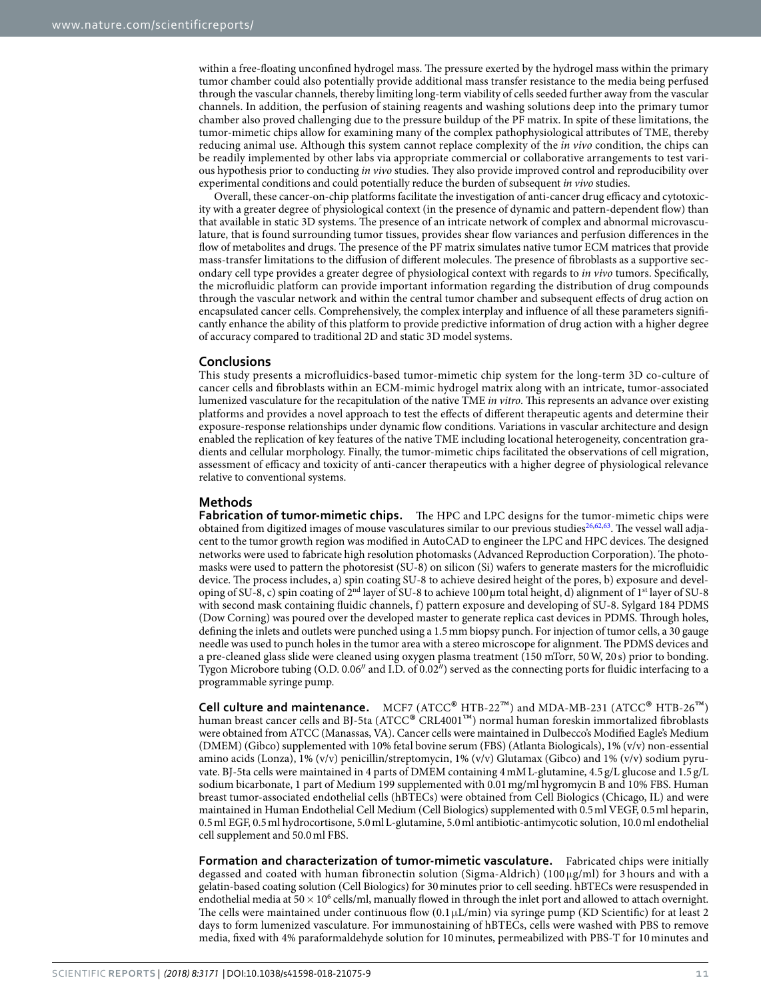within a free-floating unconfined hydrogel mass. The pressure exerted by the hydrogel mass within the primary tumor chamber could also potentially provide additional mass transfer resistance to the media being perfused through the vascular channels, thereby limiting long-term viability of cells seeded further away from the vascular channels. In addition, the perfusion of staining reagents and washing solutions deep into the primary tumor chamber also proved challenging due to the pressure buildup of the PF matrix. In spite of these limitations, the tumor-mimetic chips allow for examining many of the complex pathophysiological attributes of TME, thereby reducing animal use. Although this system cannot replace complexity of the in vivo condition, the chips can be readily implemented by other labs via appropriate commercial or collaborative arrangements to test various hypothesis prior to conducting in vivo studies. They also provide improved control and reproducibility over experimental conditions and could potentially reduce the burden of subsequent in vivo studies.

Overall, these cancer-on-chip platforms facilitate the investigation of anti-cancer drug efficacy and cytotoxicity with a greater degree of physiological context (in the presence of dynamic and pattern-dependent flow) than that available in static 3D systems. The presence of an intricate network of complex and abnormal microvasculature, that is found surrounding tumor tissues, provides shear flow variances and perfusion differences in the flow of metabolites and drugs. The presence of the PF matrix simulates native tumor ECM matrices that provide mass-transfer limitations to the diffusion of different molecules. The presence of fibroblasts as a supportive secondary cell type provides a greater degree of physiological context with regards to in vivo tumors. Specifically, the microfluidic platform can provide important information regarding the distribution of drug compounds through the vascular network and within the central tumor chamber and subsequent effects of drug action on encapsulated cancer cells. Comprehensively, the complex interplay and influence of all these parameters significantly enhance the ability of this platform to provide predictive information of drug action with a higher degree of accuracy compared to traditional 2D and static 3D model systems.

#### **Conclusions**

This study presents a microfluidics-based tumor-mimetic chip system for the long-term 3D co-culture of cancer cells and fibroblasts within an ECM-mimic hydrogel matrix along with an intricate, tumor-associated lumenized vasculature for the recapitulation of the native TME in vitro. This represents an advance over existing platforms and provides a novel approach to test the effects of different therapeutic agents and determine their exposure-response relationships under dynamic flow conditions. Variations in vascular architecture and design enabled the replication of key features of the native TME including locational heterogeneity, concentration gradients and cellular morphology. Finally, the tumor-mimetic chips facilitated the observations of cell migration, assessment of efficacy and toxicity of anti-cancer therapeutics with a higher degree of physiological relevance relative to conventional systems.

#### **Methods**

**Fabrication of tumor-mimetic chips.** The HPC and LPC designs for the tumor-mimetic chips were obtained from digitized images of mouse vasculatures similar to our previous studies<sup>[26](#page-12-19)[,62](#page-13-24)[,63](#page-13-25)</sup>. The vessel wall adjacent to the tumor growth region was modified in AutoCAD to engineer the LPC and HPC devices. The designed networks were used to fabricate high resolution photomasks (Advanced Reproduction Corporation). The photomasks were used to pattern the photoresist (SU-8) on silicon (Si) wafers to generate masters for the microfluidic device. The process includes, a) spin coating SU-8 to achieve desired height of the pores, b) exposure and developing of SU-8, c) spin coating of  $2<sup>nd</sup>$  layer of SU-8 to achieve 100 µm total height, d) alignment of 1<sup>st</sup> layer of SU-8 with second mask containing fluidic channels, f) pattern exposure and developing of SU-8. Sylgard 184 PDMS (Dow Corning) was poured over the developed master to generate replica cast devices in PDMS. Through holes, defining the inlets and outlets were punched using a 1.5 mm biopsy punch. For injection of tumor cells, a 30 gauge needle was used to punch holes in the tumor area with a stereo microscope for alignment. The PDMS devices and a pre-cleaned glass slide were cleaned using oxygen plasma treatment (150 mTorr, 50 W, 20 s) prior to bonding. Tygon Microbore tubing (O.D. 0.06″ and I.D. of 0.02″) served as the connecting ports for fluidic interfacing to a programmable syringe pump.

**Cell culture and maintenance.** MCF7 (ATCC® HTB-22™) and MDA-MB-231 (ATCC® HTB-26™) https://window.html and BL 5to (ATCC® CBL4001<sup>™)</sup> permal burner foreskin immortalized fibroblests. human breast cancer cells and BJ-5ta (ATCC® CRL4001™) normal human foreskin immortalized fibroblasts<br>were obtained from ATCC (Manassas VA), Cancer cells were maintained in Dulbecce`e Modified Festle`s Medium were obtained from ATCC (Manassas, VA). Cancer cells were maintained in Dulbecco's Modified Eagle's Medium (DMEM) (Gibco) supplemented with 10% fetal bovine serum (FBS) (Atlanta Biologicals), 1% (v/v) non-essential amino acids (Lonza), 1% (v/v) penicillin/streptomycin, 1% (v/v) Glutamax (Gibco) and 1% (v/v) sodium pyruvate. BJ-5ta cells were maintained in 4 parts of DMEM containing 4 mM L-glutamine, 4.5 g/L glucose and 1.5 g/L sodium bicarbonate, 1 part of Medium 199 supplemented with 0.01 mg/ml hygromycin B and 10% FBS. Human breast tumor-associated endothelial cells (hBTECs) were obtained from Cell Biologics (Chicago, IL) and were maintained in Human Endothelial Cell Medium (Cell Biologics) supplemented with 0.5 ml VEGF, 0.5 ml heparin, 0.5 ml EGF, 0.5 ml hydrocortisone, 5.0 ml L-glutamine, 5.0 ml antibiotic-antimycotic solution, 10.0 ml endothelial cell supplement and 50.0 ml FBS.

**Formation and characterization of tumor-mimetic vasculature.** Fabricated chips were initially degassed and coated with human fibronectin solution (Sigma-Aldrich) (100 µg/ml) for 3 hours and with a gelatin-based coating solution (Cell Biologics) for 30 minutes prior to cell seeding. hBTECs were resuspended in endothelial media at  $50 \times 10^6$  cells/ml, manually flowed in through the inlet port and allowed to attach overnight. The cells were maintained under continuous flow  $(0.1 \mu L/min)$  via syringe pump (KD Scientific) for at least 2 days to form lumenized vasculature. For immunostaining of hBTECs, cells were washed with PBS to remove media, fixed with 4% paraformaldehyde solution for 10 minutes, permeabilized with PBS-T for 10 minutes and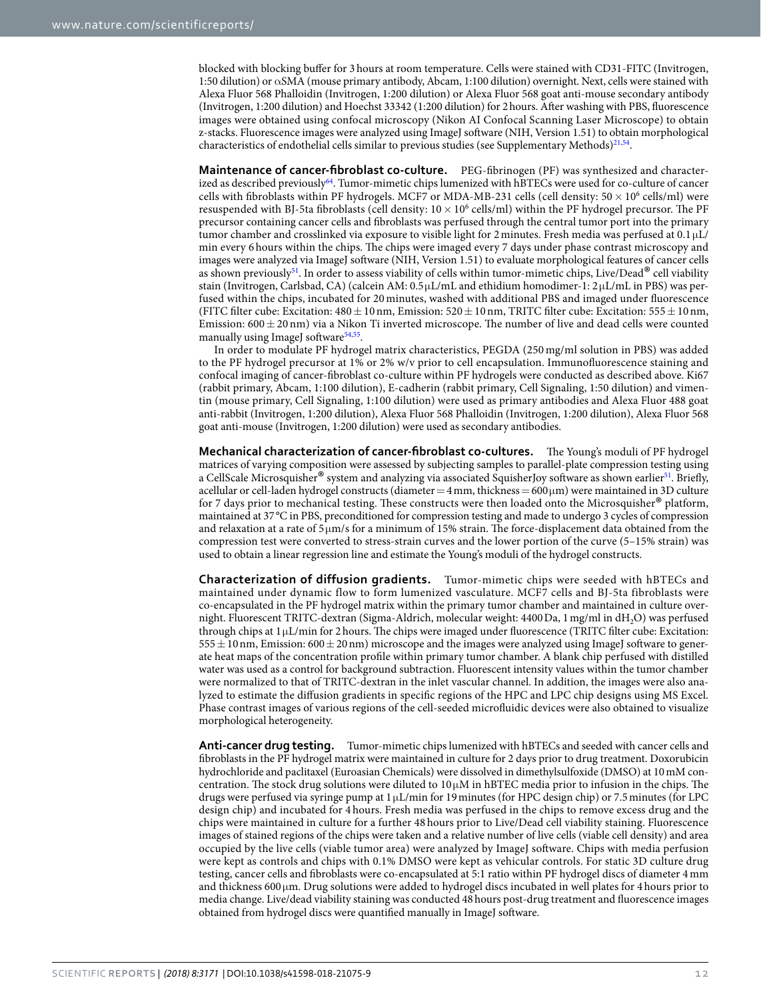blocked with blocking buffer for 3 hours at room temperature. Cells were stained with CD31-FITC (Invitrogen, 1:50 dilution) or αSMA (mouse primary antibody, Abcam, 1:100 dilution) overnight. Next, cells were stained with Alexa Fluor 568 Phalloidin (Invitrogen, 1:200 dilution) or Alexa Fluor 568 goat anti-mouse secondary antibody (Invitrogen, 1:200 dilution) and Hoechst 33342 (1:200 dilution) for 2 hours. After washing with PBS, fluorescence images were obtained using confocal microscopy (Nikon AI Confocal Scanning Laser Microscope) to obtain z-stacks. Fluorescence images were analyzed using ImageJ software (NIH, Version 1.51) to obtain morphological characteristics of endothelial cells similar to previous studies (see Supplementary Methods)<sup>[21](#page-12-14)[,54](#page-13-17)</sup>.

**Maintenance of cancer-fibroblast co-culture.** PEG-fibrinogen (PF) was synthesized and character-ized as described previously<sup>[64](#page-13-26)</sup>. Tumor-mimetic chips lumenized with hBTECs were used for co-culture of cancer cells with fibroblasts within PF hydrogels. MCF7 or MDA-MB-231 cells (cell density:  $50 \times 10^6$  cells/ml) were resuspended with BJ-5ta fibroblasts (cell density: 10  $\times$  10<sup>6</sup> cells/ml) within the PF hydrogel precursor. The PF precursor containing cancer cells and fibroblasts was perfused through the central tumor port into the primary tumor chamber and crosslinked via exposure to visible light for 2 minutes. Fresh media was perfused at 0.1 µL/ min every 6 hours within the chips. The chips were imaged every 7 days under phase contrast microscopy and images were analyz[ed](#page-13-15) via ImageJ software (NIH, Version 1.51) to evaluate morphological features of cancer cells as shown previously<sup>51</sup>. In order to assess viability of cells within tumor-mimetic chips, Live/Dead® cell viability<br>stain (Invitrogen, Carlsbad, CA) (calcein AM; 0.5µJ/mJ, and ethidium bomodimer, 1; 2µJ/mJ, in PBS) was p stain (Invitrogen, Carlsbad, CA) (calcein AM: 0.5 µL/mL and ethidium homodimer-1: 2 µL/mL in PBS) was perfused within the chips, incubated for 20 minutes, washed with additional PBS and imaged under fluorescence (FITC filter cube: Excitation:  $480 \pm 10$  nm, Emission:  $520 \pm 10$  nm, TRITC filter cube: Excitation:  $555 \pm 10$  nm, Emission:  $600 \pm 20$  nm) via a Nikon Ti inverted microscope. The number of live and dead cells were counted manually using ImageJ software<sup>[54](#page-13-17)[,55](#page-13-18)</sup>.

In order to modulate PF hydrogel matrix characteristics, PEGDA (250 mg/ml solution in PBS) was added to the PF hydrogel precursor at 1% or 2% w/v prior to cell encapsulation. Immunofluorescence staining and confocal imaging of cancer-fibroblast co-culture within PF hydrogels were conducted as described above. Ki67 (rabbit primary, Abcam, 1:100 dilution), E-cadherin (rabbit primary, Cell Signaling, 1:50 dilution) and vimentin (mouse primary, Cell Signaling, 1:100 dilution) were used as primary antibodies and Alexa Fluor 488 goat anti-rabbit (Invitrogen, 1:200 dilution), Alexa Fluor 568 Phalloidin (Invitrogen, 1:200 dilution), Alexa Fluor 568 goat anti-mouse (Invitrogen, 1:200 dilution) were used as secondary antibodies.

**Mechanical characterization of cancer-fibroblast co-cultures.** The Young's moduli of PF hydrogel matrices of varying composition were assessed by subjecting samples to parallel-plate compression tes[tin](#page-13-15)g using a CellScale Microsquisher® system and analyzing via associated SquisherJoy software as shown earlier<sup>51</sup>. Briefly,<br>acollylar or cell, loden bydrogal constructs (diamater = 4 mm, thickness = 600 um) were maintained in 3D c acellular or cell-laden hydrogel constructs (diameter = 4 mm, thickness = 600 µm) were maintained in 3D culture for 7 days prior to mechanical testing. These constructs were then loaded onto the Microsquisher® platform,<br>maintained at 37% in PBS preconditioned for compression testing and made to undergo 3 cycles of compression maintained at 37 °C in PBS, preconditioned for compression testing and made to undergo 3 cycles of compression and relaxation at a rate of  $5 \mu m/s$  for a minimum of 15% strain. The force-displacement data obtained from the compression test were converted to stress-strain curves and the lower portion of the curve (5–15% strain) was used to obtain a linear regression line and estimate the Young's moduli of the hydrogel constructs.

**Characterization of diffusion gradients.** Tumor-mimetic chips were seeded with hBTECs and maintained under dynamic flow to form lumenized vasculature. MCF7 cells and BJ-5ta fibroblasts were co-encapsulated in the PF hydrogel matrix within the primary tumor chamber and maintained in culture overnight. Fluorescent TRITC-dextran (Sigma-Aldrich, molecular weight: 4400 Da, 1 mg/ml in dH<sub>2</sub>O) was perfused through chips at  $1 \mu L/min$  for 2 hours. The chips were imaged under fluorescence (TRITC filter cube: Excitation:  $555 \pm 10$  nm, Emission:  $600 \pm 20$  nm) microscope and the images were analyzed using ImageJ software to generate heat maps of the concentration profile within primary tumor chamber. A blank chip perfused with distilled water was used as a control for background subtraction. Fluorescent intensity values within the tumor chamber were normalized to that of TRITC-dextran in the inlet vascular channel. In addition, the images were also analyzed to estimate the diffusion gradients in specific regions of the HPC and LPC chip designs using MS Excel. Phase contrast images of various regions of the cell-seeded microfluidic devices were also obtained to visualize morphological heterogeneity.

**Anti-cancer drug testing.** Tumor-mimetic chips lumenized with hBTECs and seeded with cancer cells and fibroblasts in the PF hydrogel matrix were maintained in culture for 2 days prior to drug treatment. Doxorubicin hydrochloride and paclitaxel (Euroasian Chemicals) were dissolved in dimethylsulfoxide (DMSO) at 10 mM concentration. The stock drug solutions were diluted to  $10 \mu$ M in hBTEC media prior to infusion in the chips. The drugs were perfused via syringe pump at 1 µL/min for 19 minutes (for HPC design chip) or 7.5 minutes (for LPC design chip) and incubated for 4 hours. Fresh media was perfused in the chips to remove excess drug and the chips were maintained in culture for a further 48 hours prior to Live/Dead cell viability staining. Fluorescence images of stained regions of the chips were taken and a relative number of live cells (viable cell density) and area occupied by the live cells (viable tumor area) were analyzed by ImageJ software. Chips with media perfusion were kept as controls and chips with 0.1% DMSO were kept as vehicular controls. For static 3D culture drug testing, cancer cells and fibroblasts were co-encapsulated at 5:1 ratio within PF hydrogel discs of diameter 4 mm and thickness  $600 \mu m$ . Drug solutions were added to hydrogel discs incubated in well plates for 4 hours prior to media change. Live/dead viability staining was conducted 48 hours post-drug treatment and fluorescence images obtained from hydrogel discs were quantified manually in ImageJ software.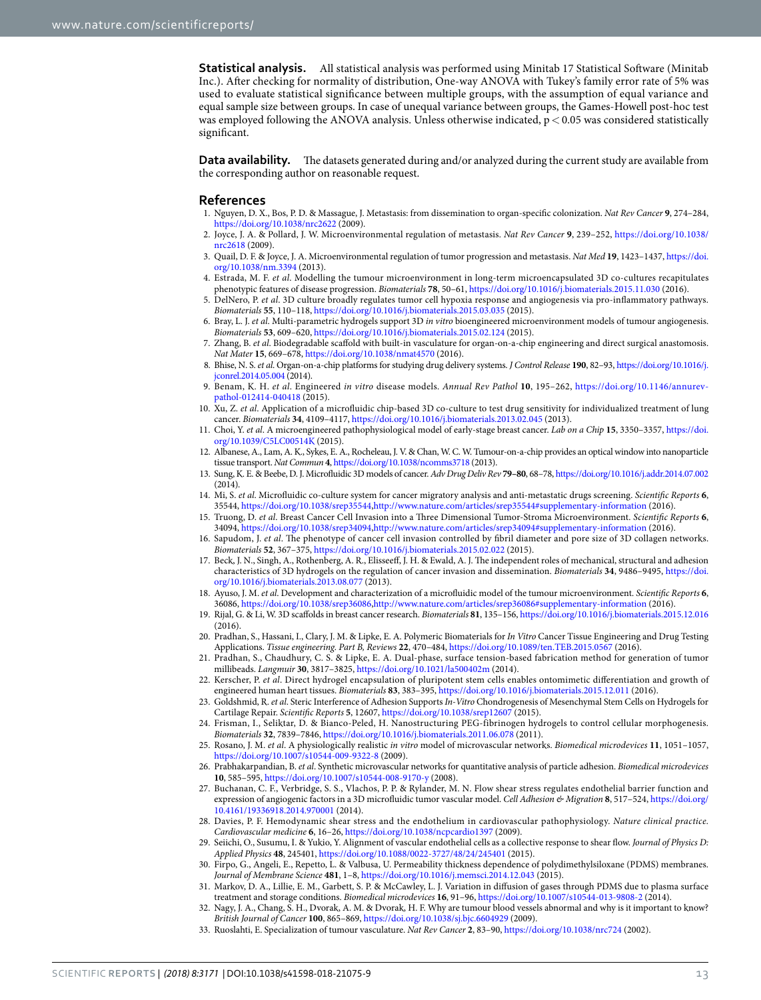**Statistical analysis.** All statistical analysis was performed using Minitab 17 Statistical Software (Minitab Inc.). After checking for normality of distribution, One-way ANOVA with Tukey's family error rate of 5% was used to evaluate statistical significance between multiple groups, with the assumption of equal variance and equal sample size between groups. In case of unequal variance between groups, the Games-Howell post-hoc test was employed following the ANOVA analysis. Unless otherwise indicated, p < 0.05 was considered statistically significant.

**Data availability.** The datasets generated during and/or analyzed during the current study are available from the corresponding author on reasonable request.

#### **References**

- <span id="page-12-0"></span> 1. Nguyen, D. X., Bos, P. D. & Massague, J. Metastasis: from dissemination to organ-specific colonization. Nat Rev Cancer **9**, 274–284, [https://doi.org/10.1038/nrc2622](http://dx.doi.org/10.1038/nrc2622) (2009).
- <span id="page-12-1"></span> 2. Joyce, J. A. & Pollard, J. W. Microenvironmental regulation of metastasis. Nat Rev Cancer **9**, 239–252, [https://doi.org/10.1038/](http://dx.doi.org/10.1038/nrc2618) [nrc2618](http://dx.doi.org/10.1038/nrc2618) (2009).
- <span id="page-12-2"></span> 3. Quail, D. F. & Joyce, J. A. Microenvironmental regulation of tumor progression and metastasis. Nat Med **19**, 1423–1437, [https://doi.](http://dx.doi.org/10.1038/nm.3394) [org/10.1038/nm.3394](http://dx.doi.org/10.1038/nm.3394) (2013).
- <span id="page-12-3"></span> 4. Estrada, M. F. et al. Modelling the tumour microenvironment in long-term microencapsulated 3D co-cultures recapitulates phenotypic features of disease progression. Biomaterials **78**, 50–61, [https://doi.org/10.1016/j.biomaterials.2015.11.030](http://dx.doi.org/10.1016/j.biomaterials.2015.11.030) (2016).
- 5. DelNero, P. et al. 3D culture broadly regulates tumor cell hypoxia response and angiogenesis via pro-inflammatory pathways. Biomaterials **55**, 110–118, [https://doi.org/10.1016/j.biomaterials.2015.03.035](http://dx.doi.org/10.1016/j.biomaterials.2015.03.035) (2015).
- <span id="page-12-4"></span> 6. Bray, L. J. et al. Multi-parametric hydrogels support 3D in vitro bioengineered microenvironment models of tumour angiogenesis. Biomaterials **53**, 609–620, [https://doi.org/10.1016/j.biomaterials.2015.02.124](http://dx.doi.org/10.1016/j.biomaterials.2015.02.124) (2015).
- <span id="page-12-5"></span> 7. Zhang, B. et al. Biodegradable scaffold with built-in vasculature for organ-on-a-chip engineering and direct surgical anastomosis. Nat Mater **15**, 669–678, [https://doi.org/10.1038/nmat4570](http://dx.doi.org/10.1038/nmat4570) (2016).
- 8. Bhise, N. S. et al. Organ-on-a-chip platforms for studying drug delivery systems. J Control Release **190**, 82–93, [https://doi.org/10.1016/j.](http://dx.doi.org/https://doi.org/10.1016/j.jconrel.2014.05.004) [jconrel.2014.05.004](http://dx.doi.org/https://doi.org/10.1016/j.jconrel.2014.05.004) (2014).
- <span id="page-12-6"></span> 9. Benam, K. H. et al. Engineered in vitro disease models. Annual Rev Pathol **10**, 195–262, [https://doi.org/10.1146/annurev](http://dx.doi.org/https://doi.org/10.1146/annurev-pathol-012414-040418)[pathol-012414-040418](http://dx.doi.org/https://doi.org/10.1146/annurev-pathol-012414-040418) (2015).
- <span id="page-12-7"></span> 10. Xu, Z. et al. Application of a microfluidic chip-based 3D co-culture to test drug sensitivity for individualized treatment of lung cancer. Biomaterials **34**, 4109–4117, [https://doi.org/10.1016/j.biomaterials.2013.02.045](http://dx.doi.org/10.1016/j.biomaterials.2013.02.045) (2013).
- 11. Choi, Y. et al. A microengineered pathophysiological model of early-stage breast cancer. Lab on a Chip **15**, 3350–3357, [https://doi.](http://dx.doi.org/10.1039/C5LC00514K) [org/10.1039/C5LC00514K](http://dx.doi.org/10.1039/C5LC00514K) (2015).
- 12. Albanese, A., Lam, A. K., Sykes, E. A., Rocheleau, J. V. & Chan, W. C. W. Tumour-on-a-chip provides an optical window into nanoparticle tissue transport. Nat Commun **4**, [https://doi.org/10.1038/ncomms3718](http://dx.doi.org/10.1038/ncomms3718) (2013).
- 13. Sung, K. E. & Beebe, D. J. Microfluidic 3D models of cancer. Adv Drug Deliv Rev **79–80**, 68–78, [https://doi.org/10.1016/j.addr.2014.07.002](http://dx.doi.org/10.1016/j.addr.2014.07.002)  $(2014)$
- <span id="page-12-26"></span> 14. Mi, S. et al. Microfluidic co-culture system for cancer migratory analysis and anti-metastatic drugs screening. Scientific Reports **6**, 35544, [https://doi.org/10.1038/srep35544](http://dx.doi.org/10.1038/srep35544)[,http://www.nature.com/articles/srep35544#supplementary-information](http://www.nature.com/articles/srep35544#supplementary-information) (2016).
- <span id="page-12-8"></span> 15. Truong, D. et al. Breast Cancer Cell Invasion into a Three Dimensional Tumor-Stroma Microenvironment. Scientific Reports **6**, 34094, [https://doi.org/10.1038/srep34094](http://dx.doi.org/10.1038/srep34094)[,http://www.nature.com/articles/srep34094#supplementary-information](http://www.nature.com/articles/srep34094#supplementary-information) (2016).
- <span id="page-12-9"></span> 16. Sapudom, J. et al. The phenotype of cancer cell invasion controlled by fibril diameter and pore size of 3D collagen networks. Biomaterials **52**, 367–375, [https://doi.org/10.1016/j.biomaterials.2015.02.022](http://dx.doi.org/10.1016/j.biomaterials.2015.02.022) (2015).
- <span id="page-12-10"></span> 17. Beck, J. N., Singh, A., Rothenberg, A. R., Elisseeff, J. H. & Ewald, A. J. The independent roles of mechanical, structural and adhesion characteristics of 3D hydrogels on the regulation of cancer invasion and dissemination. Biomaterials **34**, 9486–9495, [https://doi.](http://dx.doi.org/10.1016/j.biomaterials.2013.08.077) [org/10.1016/j.biomaterials.2013.08.077](http://dx.doi.org/10.1016/j.biomaterials.2013.08.077) (2013).
- <span id="page-12-11"></span> 18. Ayuso, J. M. et al. Development and characterization of a microfluidic model of the tumour microenvironment. Scientific Reports **6**, 36086, [https://doi.org/10.1038/srep36086](http://dx.doi.org/10.1038/srep36086)[,http://www.nature.com/articles/srep36086#supplementary-information](http://www.nature.com/articles/srep36086#supplementary-information) (2016).
- <span id="page-12-12"></span> 19. Rijal, G. & Li, W. 3D scaffolds in breast cancer research. Biomaterials **81**, 135–156, [https://doi.org/10.1016/j.biomaterials.2015.12.016](http://dx.doi.org/10.1016/j.biomaterials.2015.12.016) (2016).
- <span id="page-12-13"></span>20. Pradhan, S., Hassani, I., Clary, J. M. & Lipke, E. A. Polymeric Biomaterials for In Vitro Cancer Tissue Engineering and Drug Testing Applications. Tissue engineering. Part B, Reviews **22**, 470–484, [https://doi.org/10.1089/ten.TEB.2015.0567](http://dx.doi.org/10.1089/ten.TEB.2015.0567) (2016).
- <span id="page-12-14"></span> 21. Pradhan, S., Chaudhury, C. S. & Lipke, E. A. Dual-phase, surface tension-based fabrication method for generation of tumor millibeads. Langmuir **30**, 3817–3825, [https://doi.org/10.1021/la500402m](http://dx.doi.org/10.1021/la500402m) (2014).
- <span id="page-12-15"></span>22. Kerscher, P. et al. Direct hydrogel encapsulation of pluripotent stem cells enables ontomimetic differentiation and growth of engineered human heart tissues. Biomaterials **83**, 383–395, [https://doi.org/10.1016/j.biomaterials.2015.12.011](http://dx.doi.org/10.1016/j.biomaterials.2015.12.011) (2016).
- <span id="page-12-16"></span>23. Goldshmid, R. et al. Steric Interference of Adhesion Supports In-Vitro Chondrogenesis of Mesenchymal Stem Cells on Hydrogels for Cartilage Repair. Scientific Reports **5**, 12607, [https://doi.org/10.1038/srep12607](http://dx.doi.org/https://doi.org/10.1038/srep12607) (2015).
- <span id="page-12-17"></span> 24. Frisman, I., Seliktar, D. & Bianco-Peled, H. Nanostructuring PEG-fibrinogen hydrogels to control cellular morphogenesis. Biomaterials **32**, 7839–7846, [https://doi.org/10.1016/j.biomaterials.2011.06.078](http://dx.doi.org/10.1016/j.biomaterials.2011.06.078) (2011).
- <span id="page-12-18"></span> 25. Rosano, J. M. et al. A physiologically realistic in vitro model of microvascular networks. Biomedical microdevices **11**, 1051–1057, [https://doi.org/10.1007/s10544-009-9322-8](http://dx.doi.org/10.1007/s10544-009-9322-8) (2009).
- <span id="page-12-19"></span>26. Prabhakarpandian, B. et al. Synthetic microvascular networks for quantitative analysis of particle adhesion. Biomedical microdevices **10**, 585–595, [https://doi.org/10.1007/s10544-008-9170-y](http://dx.doi.org/10.1007/s10544-008-9170-y) (2008).
- <span id="page-12-20"></span> 27. Buchanan, C. F., Verbridge, S. S., Vlachos, P. P. & Rylander, M. N. Flow shear stress regulates endothelial barrier function and expression of angiogenic factors in a 3D microfluidic tumor vascular model. Cell Adhesion & Migration 8, 517-524, [https://doi.org/](http://dx.doi.org/10.4161/19336918.2014.970001) [10.4161/19336918.2014.970001](http://dx.doi.org/10.4161/19336918.2014.970001) (2014).
- 28. Davies, P. F. Hemodynamic shear stress and the endothelium in cardiovascular pathophysiology. Nature clinical practice. Cardiovascular medicine **6**, 16–26, [https://doi.org/10.1038/ncpcardio1397](http://dx.doi.org/10.1038/ncpcardio1397) (2009).
- <span id="page-12-21"></span>29. Seiichi, O., Susumu, I. & Yukio, Y. Alignment of vascular endothelial cells as a collective response to shear flow. Journal of Physics D: Applied Physics **48**, 245401, [https://doi.org/10.1088/0022-3727/48/24/245401](http://dx.doi.org/10.1088/0022-3727/48/24/245401) (2015).
- <span id="page-12-22"></span> 30. Firpo, G., Angeli, E., Repetto, L. & Valbusa, U. Permeability thickness dependence of polydimethylsiloxane (PDMS) membranes. Journal of Membrane Science **481**, 1–8, [https://doi.org/10.1016/j.memsci.2014.12.043](http://dx.doi.org/10.1016/j.memsci.2014.12.043) (2015).
- <span id="page-12-23"></span> 31. Markov, D. A., Lillie, E. M., Garbett, S. P. & McCawley, L. J. Variation in diffusion of gases through PDMS due to plasma surface treatment and storage conditions. Biomedical microdevices **16**, 91–96, [https://doi.org/10.1007/s10544-013-9808-2](http://dx.doi.org/10.1007/s10544-013-9808-2) (2014).
- <span id="page-12-24"></span> 32. Nagy, J. A., Chang, S. H., Dvorak, A. M. & Dvorak, H. F. Why are tumour blood vessels abnormal and why is it important to know? British Journal of Cancer **100**, 865–869, [https://doi.org/10.1038/sj.bjc.6604929](http://dx.doi.org/10.1038/sj.bjc.6604929) (2009).
- <span id="page-12-25"></span>33. Ruoslahti, E. Specialization of tumour vasculature. Nat Rev Cancer **2**, 83–90, [https://doi.org/10.1038/nrc724](http://dx.doi.org/10.1038/nrc724) (2002).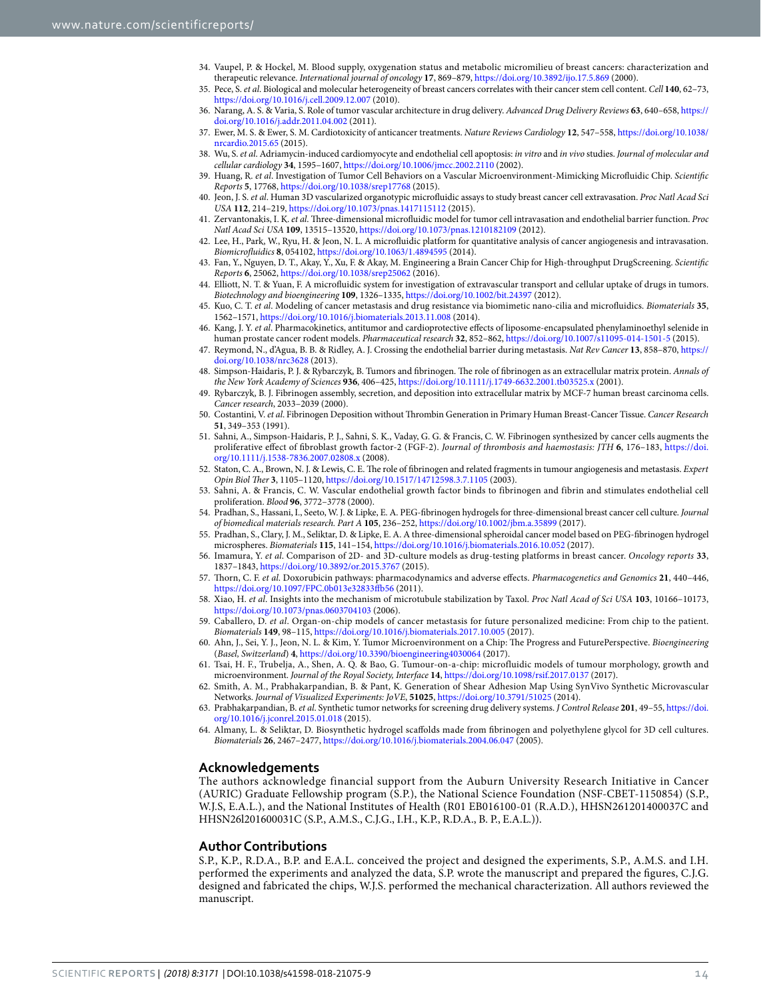- <span id="page-13-0"></span> 34. Vaupel, P. & Hockel, M. Blood supply, oxygenation status and metabolic micromilieu of breast cancers: characterization and therapeutic relevance. International journal of oncology **17**, 869–879, [https://doi.org/10.3892/ijo.17.5.869](http://dx.doi.org/10.3892/ijo.17.5.869) (2000).
- <span id="page-13-1"></span> 35. Pece, S. et al. Biological and molecular heterogeneity of breast cancers correlates with their cancer stem cell content. Cell **140**, 62–73, [https://doi.org/10.1016/j.cell.2009.12.007](http://dx.doi.org/10.1016/j.cell.2009.12.007) (2010).
- <span id="page-13-2"></span> 36. Narang, A. S. & Varia, S. Role of tumor vascular architecture in drug delivery. Advanced Drug Delivery Reviews **63**, 640–658, [https://](http://dx.doi.org/10.1016/j.addr.2011.04.002) [doi.org/10.1016/j.addr.2011.04.002](http://dx.doi.org/10.1016/j.addr.2011.04.002) (2011).
- <span id="page-13-3"></span> 37. Ewer, M. S. & Ewer, S. M. Cardiotoxicity of anticancer treatments. Nature Reviews Cardiology **12**, 547–558, [https://doi.org/10.1038/](http://dx.doi.org/10.1038/nrcardio.2015.65) [nrcardio.2015.65](http://dx.doi.org/10.1038/nrcardio.2015.65) (2015).
- <span id="page-13-4"></span>38. Wu, S. et al. Adriamycin-induced cardiomyocyte and endothelial cell apoptosis: in vitro and in vivo studies. Journal of molecular and cellular cardiology **34**, 1595–1607, [https://doi.org/10.1006/jmcc.2002.2110](http://dx.doi.org/10.1006/jmcc.2002.2110) (2002).
- <span id="page-13-5"></span>39. Huang, R. et al. Investigation of Tumor Cell Behaviors on a Vascular Microenvironment-Mimicking Microfluidic Chip. Scientific Reports **5**, 17768, [https://doi.org/10.1038/srep17768](http://dx.doi.org/10.1038/srep17768) (2015).
- <span id="page-13-6"></span>40. Jeon, J. S. et al. Human 3D vascularized organotypic microfluidic assays to study breast cancer cell extravasation. Proc Natl Acad Sci USA **112**, 214–219, [https://doi.org/10.1073/pnas.1417115112](http://dx.doi.org/10.1073/pnas.1417115112) (2015).
- <span id="page-13-7"></span>Zervantonakis, I. K. et al. Three-dimensional microfluidic model for tumor cell intravasation and endothelial barrier function. Proc Natl Acad Sci USA **109**, 13515–13520, [https://doi.org/10.1073/pnas.1210182109](http://dx.doi.org/https://doi.org/10.1073/pnas.1210182109) (2012).
- <span id="page-13-8"></span> 42. Lee, H., Park, W., Ryu, H. & Jeon, N. L. A microfluidic platform for quantitative analysis of cancer angiogenesis and intravasation. Biomicrofluidics **8**, 054102, [https://doi.org/10.1063/1.4894595](http://dx.doi.org/10.1063/1.4894595) (2014).
- <span id="page-13-9"></span> 43. Fan, Y., Nguyen, D. T., Akay, Y., Xu, F. & Akay, M. Engineering a Brain Cancer Chip for High-throughput DrugScreening. Scientific Reports **6**, 25062, [https://doi.org/10.1038/srep25062](http://dx.doi.org/10.1038/srep25062) (2016).
- 44. Elliott, N. T. & Yuan, F. A microfluidic system for investigation of extravascular transport and cellular uptake of drugs in tumors. Biotechnology and bioengineering **109**, 1326–1335, [https://doi.org/10.1002/bit.24397](http://dx.doi.org/10.1002/bit.24397) (2012).
- <span id="page-13-10"></span> 45. Kuo, C. T. et al. Modeling of cancer metastasis and drug resistance via biomimetic nano-cilia and microfluidics. Biomaterials **35**, 1562–1571, [https://doi.org/10.1016/j.biomaterials.2013.11.008](http://dx.doi.org/10.1016/j.biomaterials.2013.11.008) (2014).
- <span id="page-13-11"></span> 46. Kang, J. Y. et al. Pharmacokinetics, antitumor and cardioprotective effects of liposome-encapsulated phenylaminoethyl selenide in human prostate cancer rodent models. Pharmaceutical research **32**, 852–862, [https://doi.org/10.1007/s11095-014-1501-5](http://dx.doi.org/10.1007/s11095-014-1501-5) (2015).
- <span id="page-13-12"></span> 47. Reymond, N., d'Agua, B. B. & Ridley, A. J. Crossing the endothelial barrier during metastasis. Nat Rev Cancer **13**, 858–870, [https://](http://dx.doi.org/10.1038/nrc3628) [doi.org/10.1038/nrc3628](http://dx.doi.org/10.1038/nrc3628) (2013).
- <span id="page-13-13"></span>48. Simpson-Haidaris, P. J. & Rybarczyk, B. Tumors and fibrinogen. The role of fibrinogen as an extracellular matrix protein. Annals of the New York Academy of Sciences **936**, 406–425, [https://doi.org/10.1111/j.1749-6632.2001.tb03525.x](http://dx.doi.org/10.1111/j.1749-6632.2001.tb03525.x) (2001).
- 49. Rybarczyk, B. J. Fibrinogen assembly, secretion, and deposition into extracellular matrix by MCF-7 human breast carcinoma cells. Cancer research, 2033–2039 (2000).
- <span id="page-13-14"></span>50. Costantini, V. et al. Fibrinogen Deposition without Thrombin Generation in Primary Human Breast-Cancer Tissue. Cancer Research **51**, 349–353 (1991).
- <span id="page-13-15"></span> 51. Sahni, A., Simpson-Haidaris, P. J., Sahni, S. K., Vaday, G. G. & Francis, C. W. Fibrinogen synthesized by cancer cells augments the proliferative effect of fibroblast growth factor-2 (FGF-2). Journal of thrombosis and haemostasis: JTH **6**, 176–183, [https://doi.](http://dx.doi.org/10.1111/j.1538-7836.2007.02808.x) [org/10.1111/j.1538-7836.2007.02808.x](http://dx.doi.org/10.1111/j.1538-7836.2007.02808.x) (2008).
- 52. Staton, C. A., Brown, N. J. & Lewis, C. E. The role of fibrinogen and related fragments in tumour angiogenesis and metastasis. Expert Opin Biol Ther **3**, 1105–1120, [https://doi.org/10.1517/14712598.3.7.1105](http://dx.doi.org/10.1517/14712598.3.7.1105) (2003).
- <span id="page-13-16"></span> 53. Sahni, A. & Francis, C. W. Vascular endothelial growth factor binds to fibrinogen and fibrin and stimulates endothelial cell proliferation. Blood **96**, 3772–3778 (2000).
- <span id="page-13-17"></span> 54. Pradhan, S., Hassani, I., Seeto, W. J. & Lipke, E. A. PEG-fibrinogen hydrogels for three-dimensional breast cancer cell culture. Journal of biomedical materials research. Part A **105**, 236–252, [https://doi.org/10.1002/jbm.a.35899](http://dx.doi.org/10.1002/jbm.a.35899) (2017).
- <span id="page-13-18"></span> 55. Pradhan, S., Clary, J. M., Seliktar, D. & Lipke, E. A. A three-dimensional spheroidal cancer model based on PEG-fibrinogen hydrogel microspheres. Biomaterials **115**, 141–154, [https://doi.org/10.1016/j.biomaterials.2016.10.052](http://dx.doi.org/10.1016/j.biomaterials.2016.10.052) (2017).
- <span id="page-13-19"></span> 56. Imamura, Y. et al. Comparison of 2D- and 3D-culture models as drug-testing platforms in breast cancer. Oncology reports **33**, 1837–1843, [https://doi.org/10.3892/or.2015.3767](http://dx.doi.org/10.3892/or.2015.3767) (2015).
- <span id="page-13-20"></span> 57. Thorn, C. F. et al. Doxorubicin pathways: pharmacodynamics and adverse effects. Pharmacogenetics and Genomics **21**, 440–446, [https://doi.org/10.1097/FPC.0b013e32833ffb56](http://dx.doi.org/10.1097/FPC.0b013e32833ffb56) (2011).
- <span id="page-13-21"></span> 58. Xiao, H. et al. Insights into the mechanism of microtubule stabilization by Taxol. Proc Natl Acad of Sci USA **103**, 10166–10173, [https://doi.org/10.1073/pnas.0603704103](http://dx.doi.org/https://doi.org/10.1073/pnas.0603704103) (2006).
- <span id="page-13-22"></span> 59. Caballero, D. et al. Organ-on-chip models of cancer metastasis for future personalized medicine: From chip to the patient. Biomaterials **149**, 98–115, [https://doi.org/10.1016/j.biomaterials.2017.10.005](http://dx.doi.org/10.1016/j.biomaterials.2017.10.005) (2017).
- 60. Ahn, J., Sei, Y. J., Jeon, N. L. & Kim, Y. Tumor Microenvironment on a Chip: The Progress and FuturePerspective. Bioengineering (Basel, Switzerland) **4**, [https://doi.org/10.3390/bioengineering4030064](http://dx.doi.org/10.3390/bioengineering4030064) (2017).
- <span id="page-13-23"></span> 61. Tsai, H. F., Trubelja, A., Shen, A. Q. & Bao, G. Tumour-on-a-chip: microfluidic models of tumour morphology, growth and microenvironment. Journal of the Royal Society, Interface **14**, [https://doi.org/10.1098/rsif.2017.0137](http://dx.doi.org/10.1098/rsif.2017.0137) (2017).
- <span id="page-13-24"></span> 62. Smith, A. M., Prabhakarpandian, B. & Pant, K. Generation of Shear Adhesion Map Using SynVivo Synthetic Microvascular Networks. Journal of Visualized Experiments: JoVE, **51025**, [https://doi.org/10.3791/51025](http://dx.doi.org/10.3791/51025) (2014).
- <span id="page-13-25"></span> 63. Prabhakarpandian, B. et al. Synthetic tumor networks for screening drug delivery systems. J Control Release **201**, 49–55, [https://doi.](http://dx.doi.org/https://doi.org/10.1016/j.jconrel.2015.01.018) [org/10.1016/j.jconrel.2015.01.018](http://dx.doi.org/https://doi.org/10.1016/j.jconrel.2015.01.018) (2015).
- <span id="page-13-26"></span> 64. Almany, L. & Seliktar, D. Biosynthetic hydrogel scaffolds made from fibrinogen and polyethylene glycol for 3D cell cultures. Biomaterials **26**, 2467–2477, [https://doi.org/10.1016/j.biomaterials.2004.06.047](http://dx.doi.org/10.1016/j.biomaterials.2004.06.047) (2005).

#### **Acknowledgements**

The authors acknowledge financial support from the Auburn University Research Initiative in Cancer (AURIC) Graduate Fellowship program (S.P.), the National Science Foundation (NSF-CBET-1150854) (S.P., W.J.S, E.A.L.), and the National Institutes of Health (R01 EB016100-01 (R.A.D.), HHSN261201400037C and HHSN26l201600031C (S.P., A.M.S., C.J.G., I.H., K.P., R.D.A., B. P., E.A.L.)).

#### **Author Contributions**

S.P., K.P., R.D.A., B.P. and E.A.L. conceived the project and designed the experiments, S.P., A.M.S. and I.H. performed the experiments and analyzed the data, S.P. wrote the manuscript and prepared the figures, C.J.G. designed and fabricated the chips, W.J.S. performed the mechanical characterization. All authors reviewed the manuscript.